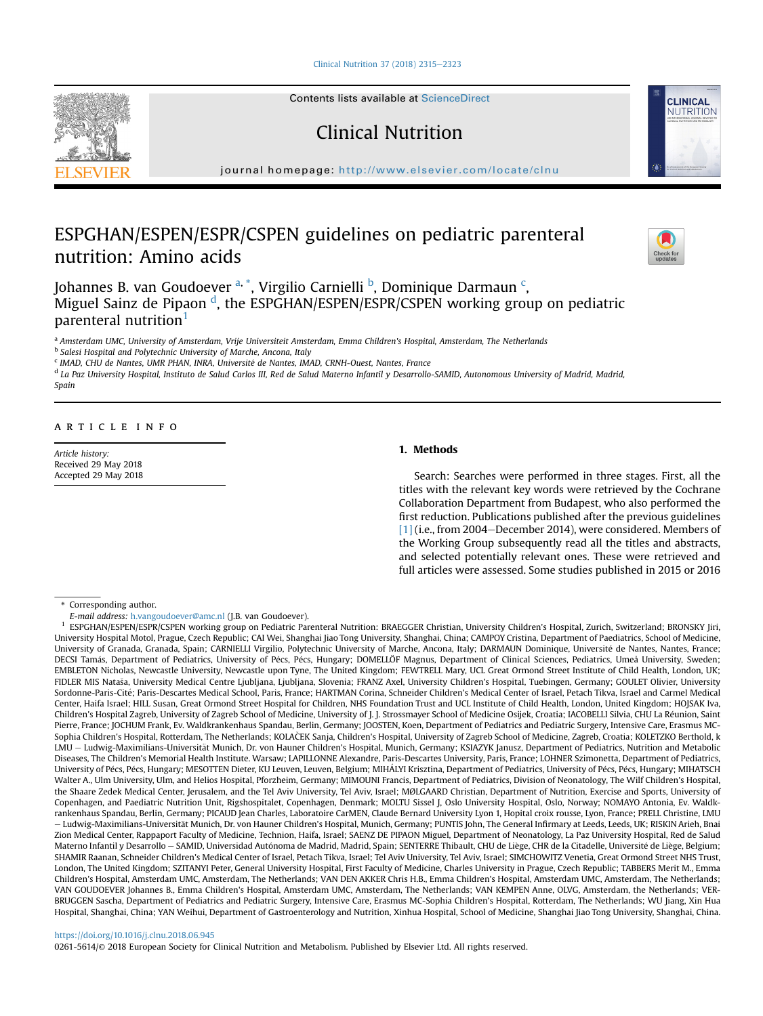## [Clinical Nutrition 37 \(2018\) 2315](https://doi.org/10.1016/j.clnu.2018.06.945)-[2323](https://doi.org/10.1016/j.clnu.2018.06.945)



Contents lists available at ScienceDirect

# Clinical Nutrition

journal homepage: <http://www.elsevier.com/locate/clnu>

# ESPGHAN/ESPEN/ESPR/CSPEN guidelines on pediatric parenteral nutrition: Amino acids



**CLINICAL** NUTRITION



a Amsterdam UMC, University of Amsterdam, Vrije Universiteit Amsterdam, Emma Children's Hospital, Amsterdam, The Netherlands

**b Salesi Hospital and Polytechnic University of Marche, Ancona, Italy** 

<sup>c</sup> IMAD, CHU de Nantes, UMR PHAN, INRA, Universite de Nantes, IMAD, CRNH-Ouest, Nantes, France

<sup>d</sup> La Paz University Hospital, Instituto de Salud Carlos III, Red de Salud Materno Infantil y Desarrollo-SAMID, Autonomous University of Madrid, Madrid, Spain

## article info

Article history: Received 29 May 2018 Accepted 29 May 2018

# 1. Methods

Search: Searches were performed in three stages. First, all the titles with the relevant key words were retrieved by the Cochrane Collaboration Department from Budapest, who also performed the first reduction. Publications published after the previous guidelines  $[1]$  (i.e., from 2004–December 2014), were considered. Members of the Working Group subsequently read all the titles and abstracts, and selected potentially relevant ones. These were retrieved and full articles were assessed. Some studies published in 2015 or 2016

\* Corresponding author.

E-mail address: [h.vangoudoever@amc.nl](mailto:h.vangoudoever@amc.nl) (J.B. van Goudoever).

<sup>1</sup> ESPGHAN/ESPEN/ESPR/CSPEN working group on Pediatric Parenteral Nutrition: BRAEGGER Christian, University Children's Hospital, Zurich, Switzerland; BRONSKY Jiri, University Hospital Motol, Prague, Czech Republic; CAI Wei, Shanghai Jiao Tong University, Shanghai, China; CAMPOY Cristina, Department of Paediatrics, School of Medicine, University of Granada, Granada, Spain; CARNIELLI Virgilio, Polytechnic University of Marche, Ancona, Italy; DARMAUN Dominique, Universite de Nantes, Nantes, France; DECSI Tamás, Department of Pediatrics, University of Pécs, Pécs, Hungary; DOMELLÖF Magnus, Department of Clinical Sciences, Pediatrics, Umeå University, Sweden; EMBLETON Nicholas, Newcastle University, Newcastle upon Tyne, The United Kingdom; FEWTRELL Mary, UCL Great Ormond Street Institute of Child Health, London, UK; FIDLER MIS Natasa, University Medical Centre Ljubljana, Ljubljana, Slovenia; FRANZ Axel, University Children's Hospital, Tuebingen, Germany; GOULET Olivier, University Sordonne-Paris-Cité; Paris-Descartes Medical School, Paris, France; HARTMAN Corina, Schneider Children's Medical Center of Israel, Petach Tikva, Israel and Carmel Medical Center, Haifa Israel; HILL Susan, Great Ormond Street Hospital for Children, NHS Foundation Trust and UCL Institute of Child Health, London, United Kingdom; HOJSAK Iva, Children's Hospital Zagreb, University of Zagreb School of Medicine, University of J. J. Strossmayer School of Medicine Osijek, Croatia; IACOBELLI Silvia, CHU La Reunion, Saint Pierre, France; JOCHUM Frank, Ev. Waldkrankenhaus Spandau, Berlin, Germany; JOOSTEN, Koen, Department of Pediatrics and Pediatric Surgery, Intensive Care, Erasmus MC-Sophia Children's Hospital, Rotterdam, The Netherlands; KOLAČEK Sanja, Children's Hospital, University of Zagreb School of Medicine, Zagreb, Croatia; KOLETZKO Berthold, k LMU - Ludwig-Maximilians-Universität Munich, Dr. von Hauner Children's Hospital, Munich, Germany; KSIAZYK Janusz, Department of Pediatrics, Nutrition and Metabolic Diseases, The Children's Memorial Health Institute. Warsaw; LAPILLONNE Alexandre, Paris-Descartes University, Paris, France; LOHNER Szimonetta, Department of Pediatrics, University of Pécs, Pécs, Hungary; MESOTTEN Dieter, KU Leuven, Leuven, Belgium; MIHÁLYI Krisztina, Department of Pediatrics, University of Pécs, Pécs, Hungary; MIHATSCH Walter A., Ulm University, Ulm, and Helios Hospital, Pforzheim, Germany; MIMOUNI Francis, Department of Pediatrics, Division of Neonatology, The Wilf Children's Hospital, the Shaare Zedek Medical Center, Jerusalem, and the Tel Aviv University, Tel Aviv, Israel; MØLGAARD Christian, Department of Nutrition, Exercise and Sports, University of Copenhagen, and Paediatric Nutrition Unit, Rigshospitalet, Copenhagen, Denmark; MOLTU Sissel J, Oslo University Hospital, Oslo, Norway; NOMAYO Antonia, Ev. Waldkrankenhaus Spandau, Berlin, Germany; PICAUD Jean Charles, Laboratoire CarMEN, Claude Bernard University Lyon 1, Hopital croix rousse, Lyon, France; PRELL Christine, LMU e Ludwig-Maximilians-Universitat Munich, Dr. von Hauner Children's Hospital, Munich, Germany; PUNTIS John, The General In € firmary at Leeds, Leeds, UK; RISKIN Arieh, Bnai Zion Medical Center, Rappaport Faculty of Medicine, Technion, Haifa, Israel; SAENZ DE PIPAON Miguel, Department of Neonatology, La Paz University Hospital, Red de Salud Materno Infantil y Desarrollo - SAMID, Universidad Autónoma de Madrid, Madrid, Spain; SENTERRE Thibault, CHU de Liège, CHR de la Citadelle, Université de Liège, Belgium; SHAMIR Raanan, Schneider Children's Medical Center of Israel, Petach Tikva, Israel; Tel Aviv University, Tel Aviv, Israel; SIMCHOWITZ Venetia, Great Ormond Street NHS Trust, London, The United Kingdom; SZITANYI Peter, General University Hospital, First Faculty of Medicine, Charles University in Prague, Czech Republic; TABBERS Merit M., Emma Children's Hospital, Amsterdam UMC, Amsterdam, The Netherlands; VAN DEN AKKER Chris H.B., Emma Children's Hospital, Amsterdam UMC, Amsterdam, The Netherlands; VAN GOUDOEVER Johannes B., Emma Children's Hospital, Amsterdam UMC, Amsterdam, The Netherlands; VAN KEMPEN Anne, OLVG, Amsterdam, the Netherlands; VER-BRUGGEN Sascha, Department of Pediatrics and Pediatric Surgery, Intensive Care, Erasmus MC-Sophia Children's Hospital, Rotterdam, The Netherlands; WU Jiang, Xin Hua Hospital, Shanghai, China; YAN Weihui, Department of Gastroenterology and Nutrition, Xinhua Hospital, School of Medicine, Shanghai Jiao Tong University, Shanghai, China.

# <https://doi.org/10.1016/j.clnu.2018.06.945>

0261-5614/© 2018 European Society for Clinical Nutrition and Metabolism. Published by Elsevier Ltd. All rights reserved.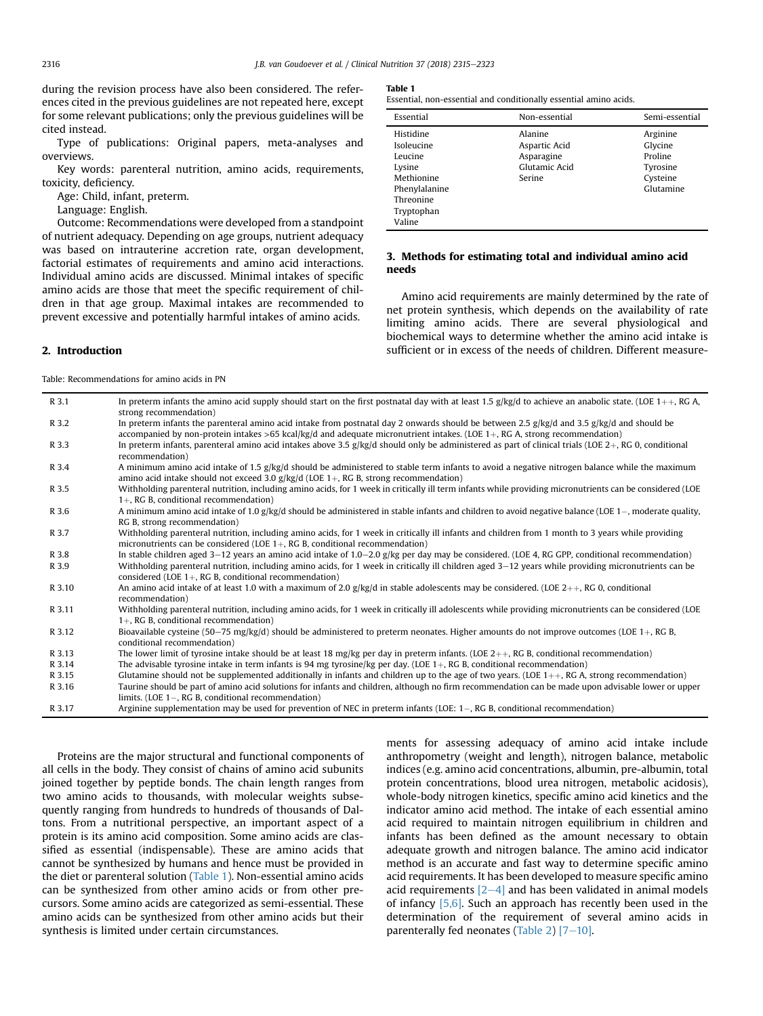during the revision process have also been considered. The references cited in the previous guidelines are not repeated here, except for some relevant publications; only the previous guidelines will be cited instead.

Type of publications: Original papers, meta-analyses and overviews.

Key words: parenteral nutrition, amino acids, requirements, toxicity, deficiency.

Age: Child, infant, preterm.

Language: English.

Outcome: Recommendations were developed from a standpoint of nutrient adequacy. Depending on age groups, nutrient adequacy was based on intrauterine accretion rate, organ development, factorial estimates of requirements and amino acid interactions. Individual amino acids are discussed. Minimal intakes of specific amino acids are those that meet the specific requirement of children in that age group. Maximal intakes are recommended to prevent excessive and potentially harmful intakes of amino acids.

## 2. Introduction

Table: Recommendations for amino acids in PN

#### Table 1

Essential, non-essential and conditionally essential amino acids.

| Essential                                                                                                        | Non-essential                                                     | Semi-essential                                                      |
|------------------------------------------------------------------------------------------------------------------|-------------------------------------------------------------------|---------------------------------------------------------------------|
| Histidine<br>Isoleucine<br>Leucine<br>Lysine<br>Methionine<br>Phenylalanine<br>Threonine<br>Tryptophan<br>Valine | Alanine<br>Aspartic Acid<br>Asparagine<br>Glutamic Acid<br>Serine | Arginine<br>Glycine<br>Proline<br>Tyrosine<br>Cysteine<br>Glutamine |

# 3. Methods for estimating total and individual amino acid needs

Amino acid requirements are mainly determined by the rate of net protein synthesis, which depends on the availability of rate limiting amino acids. There are several physiological and biochemical ways to determine whether the amino acid intake is sufficient or in excess of the needs of children. Different measure-

| R 3.1  | In preterm infants the amino acid supply should start on the first postnatal day with at least 1.5 g/kg/d to achieve an anabolic state. (LOE 1++, RG A,<br>strong recommendation)                                                                                            |
|--------|------------------------------------------------------------------------------------------------------------------------------------------------------------------------------------------------------------------------------------------------------------------------------|
| R 3.2  | In preterm infants the parenteral amino acid intake from postnatal day 2 onwards should be between 2.5 $g/kg/d$ and 3.5 $g/kg/d$ and should be<br>accompanied by non-protein intakes >65 kcal/kg/d and adequate micronutrient intakes. (LOE 1+, RG A, strong recommendation) |
| R 3.3  | In preterm infants, parenteral amino acid intakes above 3.5 $g/kg/d$ should only be administered as part of clinical trials (LOE 2+, RG 0, conditional<br>recommendation)                                                                                                    |
| R 3.4  | A minimum amino acid intake of 1.5 g/kg/d should be administered to stable term infants to avoid a negative nitrogen balance while the maximum<br>amino acid intake should not exceed 3.0 $g/kg/d$ (LOE 1+, RG B, strong recommendation)                                     |
| R 3.5  | Withholding parenteral nutrition, including amino acids, for 1 week in critically ill term infants while providing micronutrients can be considered (LOE<br>$1+$ , RG B, conditional recommendation)                                                                         |
| R 3.6  | A minimum amino acid intake of 1.0 $g/kg/d$ should be administered in stable infants and children to avoid negative balance (LOE 1–, moderate quality,<br>RG B, strong recommendation)                                                                                       |
| R 3.7  | Withholding parenteral nutrition, including amino acids, for 1 week in critically ill infants and children from 1 month to 3 years while providing<br>micronutrients can be considered (LOE $1+$ , RG B, conditional recommendation)                                         |
| R 3.8  | In stable children aged 3-12 years an amino acid intake of 1.0-2.0 g/kg per day may be considered. (LOE 4, RG GPP, conditional recommendation)                                                                                                                               |
| R 3.9  | Withholding parenteral nutrition, including amino acids, for 1 week in critically ill children aged 3-12 years while providing micronutrients can be<br>considered (LOE $1+$ , RG B, conditional recommendation)                                                             |
| R 3.10 | An amino acid intake of at least 1.0 with a maximum of 2.0 $g/kg/d$ in stable adolescents may be considered. (LOE 2++, RG 0, conditional<br>recommendation)                                                                                                                  |
| R 3.11 | Withholding parenteral nutrition, including amino acids, for 1 week in critically ill adolescents while providing micronutrients can be considered (LOE<br>$1+$ , RG B, conditional recommendation)                                                                          |
| R 3.12 | Bioavailable cysteine (50–75 mg/kg/d) should be administered to preterm neonates. Higher amounts do not improve outcomes (LOE 1+, RG B,<br>conditional recommendation)                                                                                                       |
| R 3.13 | The lower limit of tyrosine intake should be at least 18 mg/kg per day in preterm infants. (LOE $2++$ , RG B, conditional recommendation)                                                                                                                                    |
| R 3.14 | The advisable tyrosine intake in term infants is 94 mg tyrosine/kg per day. (LOE $1+$ , RG B, conditional recommendation)                                                                                                                                                    |
| R 3.15 | Glutamine should not be supplemented additionally in infants and children up to the age of two years. (LOE $1++$ , RG A, strong recommendation)                                                                                                                              |
| R 3.16 | Taurine should be part of amino acid solutions for infants and children, although no firm recommendation can be made upon advisable lower or upper<br>limits. (LOE $1 -$ , RG B, conditional recommendation)                                                                 |
| R 3.17 | Arginine supplementation may be used for prevention of NEC in preterm infants (LOE: $1 -$ , RG B, conditional recommendation)                                                                                                                                                |

Proteins are the major structural and functional components of all cells in the body. They consist of chains of amino acid subunits joined together by peptide bonds. The chain length ranges from two amino acids to thousands, with molecular weights subsequently ranging from hundreds to hundreds of thousands of Daltons. From a nutritional perspective, an important aspect of a protein is its amino acid composition. Some amino acids are classified as essential (indispensable). These are amino acids that cannot be synthesized by humans and hence must be provided in the diet or parenteral solution (Table 1). Non-essential amino acids can be synthesized from other amino acids or from other precursors. Some amino acids are categorized as semi-essential. These amino acids can be synthesized from other amino acids but their synthesis is limited under certain circumstances.

ments for assessing adequacy of amino acid intake include anthropometry (weight and length), nitrogen balance, metabolic indices (e.g. amino acid concentrations, albumin, pre-albumin, total protein concentrations, blood urea nitrogen, metabolic acidosis), whole-body nitrogen kinetics, specific amino acid kinetics and the indicator amino acid method. The intake of each essential amino acid required to maintain nitrogen equilibrium in children and infants has been defined as the amount necessary to obtain adequate growth and nitrogen balance. The amino acid indicator method is an accurate and fast way to determine specific amino acid requirements. It has been developed to measure specific amino acid requirements  $[2-4]$  $[2-4]$  $[2-4]$  and has been validated in animal models of infancy [\[5,6\]](#page-6-0). Such an approach has recently been used in the determination of the requirement of several amino acids in parenterally fed neonates ([Table 2\)](#page-2-0)  $[7-10]$  $[7-10]$  $[7-10]$ .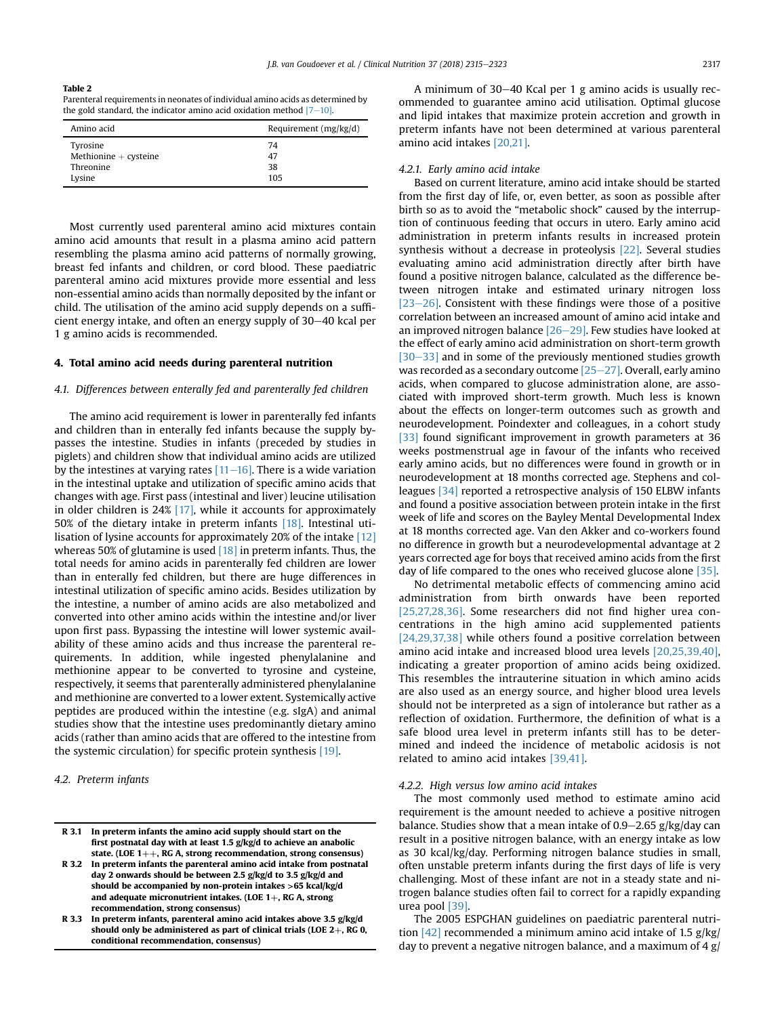#### <span id="page-2-0"></span>Table 2

Parenteral requirements in neonates of individual amino acids as determined by the gold standard, the indicator amino acid oxidation method  $[7-10]$  $[7-10]$  $[7-10]$ .

| Amino acid              | Requirement $(mg/kg/d)$ |
|-------------------------|-------------------------|
| Tyrosine                | 74                      |
| Methionine $+$ cysteine | 47                      |
| Threonine               | 38                      |
| Lysine                  | 105                     |

Most currently used parenteral amino acid mixtures contain amino acid amounts that result in a plasma amino acid pattern resembling the plasma amino acid patterns of normally growing, breast fed infants and children, or cord blood. These paediatric parenteral amino acid mixtures provide more essential and less non-essential amino acids than normally deposited by the infant or child. The utilisation of the amino acid supply depends on a sufficient energy intake, and often an energy supply of 30–40 kcal per 1 g amino acids is recommended.

### 4. Total amino acid needs during parenteral nutrition

# 4.1. Differences between enterally fed and parenterally fed children

The amino acid requirement is lower in parenterally fed infants and children than in enterally fed infants because the supply bypasses the intestine. Studies in infants (preceded by studies in piglets) and children show that individual amino acids are utilized by the intestines at varying rates  $[11–16]$  $[11–16]$ . There is a wide variation in the intestinal uptake and utilization of specific amino acids that changes with age. First pass (intestinal and liver) leucine utilisation in older children is 24% [\[17\]](#page-6-0), while it accounts for approximately 50% of the dietary intake in preterm infants [\[18\]](#page-6-0). Intestinal utilisation of lysine accounts for approximately 20% of the intake [\[12\]](#page-6-0) whereas 50% of glutamine is used  $[18]$  in preterm infants. Thus, the total needs for amino acids in parenterally fed children are lower than in enterally fed children, but there are huge differences in intestinal utilization of specific amino acids. Besides utilization by the intestine, a number of amino acids are also metabolized and converted into other amino acids within the intestine and/or liver upon first pass. Bypassing the intestine will lower systemic availability of these amino acids and thus increase the parenteral requirements. In addition, while ingested phenylalanine and methionine appear to be converted to tyrosine and cysteine, respectively, it seems that parenterally administered phenylalanine and methionine are converted to a lower extent. Systemically active peptides are produced within the intestine (e.g. sIgA) and animal studies show that the intestine uses predominantly dietary amino acids (rather than amino acids that are offered to the intestine from the systemic circulation) for specific protein synthesis [\[19\]](#page-6-0).

## 4.2. Preterm infants

- R 3.1 In preterm infants the amino acid supply should start on the first postnatal day with at least 1.5 g/kg/d to achieve an anabolic state. (LOE  $1++$ , RG A, strong recommendation, strong consensus)
- R 3.2 In preterm infants the parenteral amino acid intake from postnatal day 2 onwards should be between 2.5 g/kg/d to 3.5 g/kg/d and should be accompanied by non-protein intakes >65 kcal/kg/d and adequate micronutrient intakes. (LOE  $1+$ , RG A, strong recommendation, strong consensus)
- R 3.3 In preterm infants, parenteral amino acid intakes above 3.5 g/kg/d should only be administered as part of clinical trials (LOE  $2+$ , RG 0, conditional recommendation, consensus)

A minimum of  $30-40$  Kcal per 1 g amino acids is usually recommended to guarantee amino acid utilisation. Optimal glucose and lipid intakes that maximize protein accretion and growth in preterm infants have not been determined at various parenteral amino acid intakes [\[20,21\].](#page-6-0)

### 4.2.1. Early amino acid intake

Based on current literature, amino acid intake should be started from the first day of life, or, even better, as soon as possible after birth so as to avoid the "metabolic shock" caused by the interruption of continuous feeding that occurs in utero. Early amino acid administration in preterm infants results in increased protein synthesis without a decrease in proteolysis [\[22\]](#page-6-0). Several studies evaluating amino acid administration directly after birth have found a positive nitrogen balance, calculated as the difference between nitrogen intake and estimated urinary nitrogen loss  $[23-26]$  $[23-26]$ . Consistent with these findings were those of a positive correlation between an increased amount of amino acid intake and an improved nitrogen balance  $[26-29]$  $[26-29]$ . Few studies have looked at the effect of early amino acid administration on short-term growth  $[30-33]$  $[30-33]$  $[30-33]$  and in some of the previously mentioned studies growth was recorded as a secondary outcome  $[25-27]$  $[25-27]$  $[25-27]$ . Overall, early amino acids, when compared to glucose administration alone, are associated with improved short-term growth. Much less is known about the effects on longer-term outcomes such as growth and neurodevelopment. Poindexter and colleagues, in a cohort study [\[33\]](#page-6-0) found significant improvement in growth parameters at 36 weeks postmenstrual age in favour of the infants who received early amino acids, but no differences were found in growth or in neurodevelopment at 18 months corrected age. Stephens and colleagues [\[34\]](#page-6-0) reported a retrospective analysis of 150 ELBW infants and found a positive association between protein intake in the first week of life and scores on the Bayley Mental Developmental Index at 18 months corrected age. Van den Akker and co-workers found no difference in growth but a neurodevelopmental advantage at 2 years corrected age for boys that received amino acids from the first day of life compared to the ones who received glucose alone [\[35\]](#page-6-0).

No detrimental metabolic effects of commencing amino acid administration from birth onwards have been reported [\[25,27,28,36\]](#page-6-0). Some researchers did not find higher urea concentrations in the high amino acid supplemented patients [\[24,29,37,38\]](#page-6-0) while others found a positive correlation between amino acid intake and increased blood urea levels [\[20,25,39,40\],](#page-6-0) indicating a greater proportion of amino acids being oxidized. This resembles the intrauterine situation in which amino acids are also used as an energy source, and higher blood urea levels should not be interpreted as a sign of intolerance but rather as a reflection of oxidation. Furthermore, the definition of what is a safe blood urea level in preterm infants still has to be determined and indeed the incidence of metabolic acidosis is not related to amino acid intakes [\[39,41\]](#page-6-0).

#### 4.2.2. High versus low amino acid intakes

The most commonly used method to estimate amino acid requirement is the amount needed to achieve a positive nitrogen balance. Studies show that a mean intake of  $0.9-2.65$  g/kg/day can result in a positive nitrogen balance, with an energy intake as low as 30 kcal/kg/day. Performing nitrogen balance studies in small, often unstable preterm infants during the first days of life is very challenging. Most of these infant are not in a steady state and nitrogen balance studies often fail to correct for a rapidly expanding urea pool [\[39\]](#page-6-0).

The 2005 ESPGHAN guidelines on paediatric parenteral nutrition  $[42]$  recommended a minimum amino acid intake of 1.5 g/kg/ day to prevent a negative nitrogen balance, and a maximum of 4 g/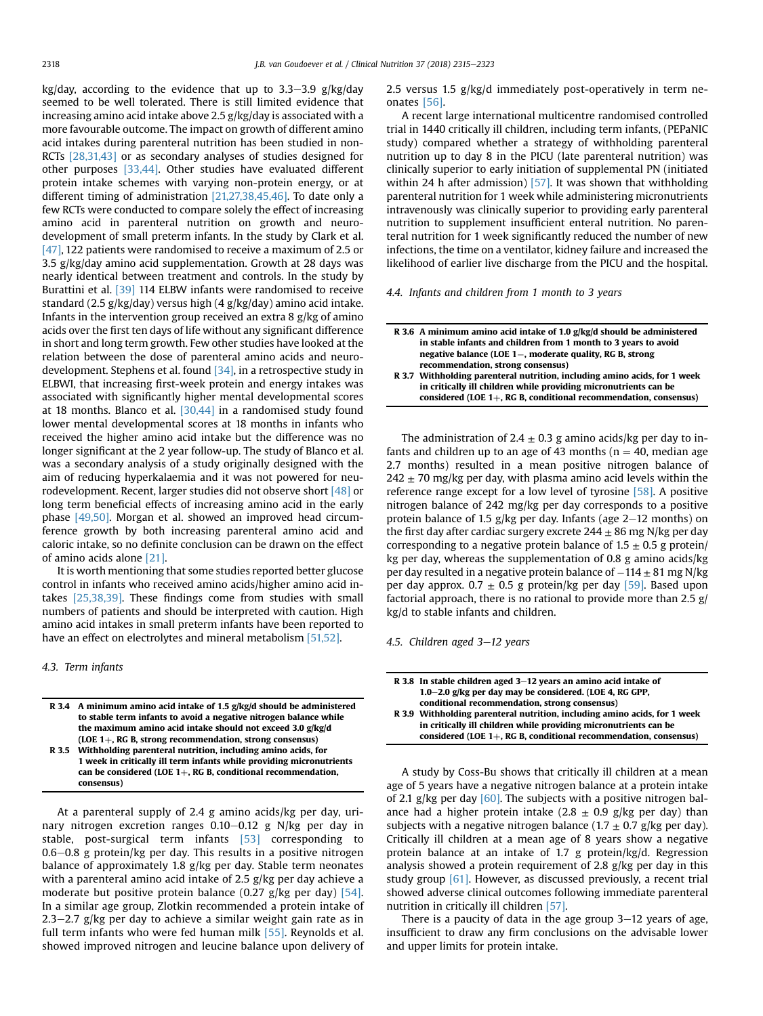kg/day, according to the evidence that up to  $3.3-3.9$  g/kg/day seemed to be well tolerated. There is still limited evidence that increasing amino acid intake above 2.5 g/kg/day is associated with a more favourable outcome. The impact on growth of different amino acid intakes during parenteral nutrition has been studied in non-RCTs [\[28,31,43\]](#page-6-0) or as secondary analyses of studies designed for other purposes [\[33,44\]](#page-6-0). Other studies have evaluated different protein intake schemes with varying non-protein energy, or at different timing of administration [\[21,27,38,45,46\]](#page-6-0). To date only a few RCTs were conducted to compare solely the effect of increasing amino acid in parenteral nutrition on growth and neurodevelopment of small preterm infants. In the study by Clark et al. [\[47\],](#page-6-0) 122 patients were randomised to receive a maximum of 2.5 or 3.5 g/kg/day amino acid supplementation. Growth at 28 days was nearly identical between treatment and controls. In the study by Burattini et al. [\[39\]](#page-6-0) 114 ELBW infants were randomised to receive standard (2.5 g/kg/day) versus high (4 g/kg/day) amino acid intake. Infants in the intervention group received an extra 8 g/kg of amino acids over the first ten days of life without any significant difference in short and long term growth. Few other studies have looked at the relation between the dose of parenteral amino acids and neurodevelopment. Stephens et al. found [\[34\]](#page-6-0), in a retrospective study in ELBWI, that increasing first-week protein and energy intakes was associated with significantly higher mental developmental scores at 18 months. Blanco et al. [\[30,44\]](#page-6-0) in a randomised study found lower mental developmental scores at 18 months in infants who received the higher amino acid intake but the difference was no longer significant at the 2 year follow-up. The study of Blanco et al. was a secondary analysis of a study originally designed with the aim of reducing hyperkalaemia and it was not powered for neurodevelopment. Recent, larger studies did not observe short [\[48\]](#page-6-0) or long term beneficial effects of increasing amino acid in the early phase [\[49,50\]](#page-6-0). Morgan et al. showed an improved head circumference growth by both increasing parenteral amino acid and caloric intake, so no definite conclusion can be drawn on the effect of amino acids alone [\[21\].](#page-6-0)

It is worth mentioning that some studies reported better glucose control in infants who received amino acids/higher amino acid intakes [\[25,38,39\]](#page-6-0). These findings come from studies with small numbers of patients and should be interpreted with caution. High amino acid intakes in small preterm infants have been reported to have an effect on electrolytes and mineral metabolism [\[51,52\]](#page-7-0).

## 4.3. Term infants

| R 3.4 A minimum amino acid intake of 1.5 g/kg/d should be administered<br>to stable term infants to avoid a negative nitrogen balance while<br>the maximum amino acid intake should not exceed 3.0 g/kg/d |
|-----------------------------------------------------------------------------------------------------------------------------------------------------------------------------------------------------------|
| $(LOE1+, RGB, strong recommendation, strong consensus)$                                                                                                                                                   |
| R 3.5 Withholding parenteral nutrition, including amino acids, for                                                                                                                                        |
| 1 week in critically ill term infants while providing micronutrients                                                                                                                                      |
| can be considered (LOE $1+$ , RG B, conditional recommendation,                                                                                                                                           |
| consensus)                                                                                                                                                                                                |

At a parenteral supply of 2.4 g amino acids/kg per day, urinary nitrogen excretion ranges  $0.10-0.12$  g N/kg per day in stable, post-surgical term infants [\[53\]](#page-7-0) corresponding to  $0.6-0.8$  g protein/kg per day. This results in a positive nitrogen balance of approximately 1.8 g/kg per day. Stable term neonates with a parenteral amino acid intake of 2.5 g/kg per day achieve a moderate but positive protein balance (0.27 g/kg per day) [\[54\].](#page-7-0) In a similar age group, Zlotkin recommended a protein intake of  $2.3-2.7$  g/kg per day to achieve a similar weight gain rate as in full term infants who were fed human milk [\[55\]](#page-7-0). Reynolds et al. showed improved nitrogen and leucine balance upon delivery of 2.5 versus 1.5 g/kg/d immediately post-operatively in term neonates [\[56\].](#page-7-0)

A recent large international multicentre randomised controlled trial in 1440 critically ill children, including term infants, (PEPaNIC study) compared whether a strategy of withholding parenteral nutrition up to day 8 in the PICU (late parenteral nutrition) was clinically superior to early initiation of supplemental PN (initiated within 24 h after admission)  $[57]$ . It was shown that withholding parenteral nutrition for 1 week while administering micronutrients intravenously was clinically superior to providing early parenteral nutrition to supplement insufficient enteral nutrition. No parenteral nutrition for 1 week significantly reduced the number of new infections, the time on a ventilator, kidney failure and increased the likelihood of earlier live discharge from the PICU and the hospital.

4.4. Infants and children from 1 month to 3 years

| R 3.6 A minimum amino acid intake of 1.0 g/kg/d should be administered    |
|---------------------------------------------------------------------------|
| in stable infants and children from 1 month to 3 years to avoid           |
| negative balance (LOE 1–, moderate quality, RG B, strong                  |
| recommendation, strong consensus)                                         |
| R 3.7 Withholding parenteral nutrition, including amino acids, for 1 week |
| in critically ill children while providing micronutrients can be          |
| considered (LOE 1+, RG B, conditional recommendation, consensus)          |

The administration of 2.4  $\pm$  0.3 g amino acids/kg per day to infants and children up to an age of 43 months ( $n = 40$ , median age 2.7 months) resulted in a mean positive nitrogen balance of  $242 \pm 70$  mg/kg per day, with plasma amino acid levels within the reference range except for a low level of tyrosine [\[58\].](#page-7-0) A positive nitrogen balance of 242 mg/kg per day corresponds to a positive protein balance of 1.5 g/kg per day. Infants (age  $2-12$  months) on the first day after cardiac surgery excrete  $244 \pm 86$  mg N/kg per day corresponding to a negative protein balance of  $1.5 \pm 0.5$  g protein/ kg per day, whereas the supplementation of 0.8 g amino acids/kg per day resulted in a negative protein balance of  $-114 \pm 81$  mg N/kg per day approx. 0.7  $\pm$  0.5 g protein/kg per day [\[59\].](#page-7-0) Based upon factorial approach, there is no rational to provide more than 2.5  $g$ / kg/d to stable infants and children.

4.5. Children aged  $3-12$  years

| R 3.8 In stable children aged 3–12 years an amino acid intake of          |
|---------------------------------------------------------------------------|
| 1.0–2.0 g/kg per day may be considered. (LOE 4, RG GPP,                   |
| conditional recommendation, strong consensus)                             |
| R 3.9 Withholding parenteral nutrition, including amino acids, for 1 week |
| in critically ill children while providing micronutrients can be          |
| considered (LOE 1+, RG B, conditional recommendation, consensus)          |

A study by Coss-Bu shows that critically ill children at a mean age of 5 years have a negative nitrogen balance at a protein intake of 2.1 g/kg per day  $[60]$ . The subjects with a positive nitrogen balance had a higher protein intake  $(2.8 \pm 0.9 \text{ g/kg} \text{ per day})$  than subjects with a negative nitrogen balance (1.7  $\pm$  0.7 g/kg per day). Critically ill children at a mean age of 8 years show a negative protein balance at an intake of 1.7 g protein/kg/d. Regression analysis showed a protein requirement of 2.8 g/kg per day in this study group [\[61\].](#page-7-0) However, as discussed previously, a recent trial showed adverse clinical outcomes following immediate parenteral nutrition in critically ill children [\[57\]](#page-7-0).

There is a paucity of data in the age group  $3-12$  years of age, insufficient to draw any firm conclusions on the advisable lower and upper limits for protein intake.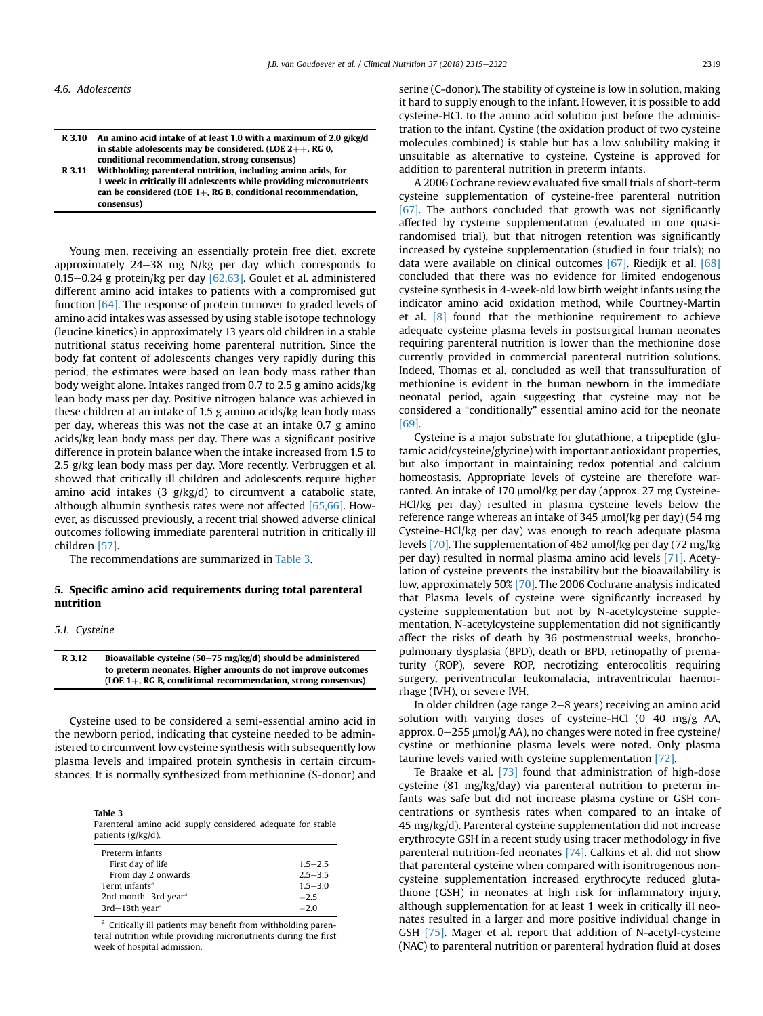4.6. Adolescents

| R 3.10 | An amino acid intake of at least 1.0 with a maximum of 2.0 g/kg/d   |
|--------|---------------------------------------------------------------------|
|        | in stable adolescents may be considered. (LOE $2++$ , RG 0,         |
|        | conditional recommendation, strong consensus)                       |
| R 3.11 | Withholding parenteral nutrition, including amino acids, for        |
|        | 1 week in critically ill adolescents while providing micronutrients |
|        | can be considered (LOE $1+$ , RG B, conditional recommendation,     |
|        | consensus)                                                          |
|        |                                                                     |

Young men, receiving an essentially protein free diet, excrete approximately  $24-38$  mg N/kg per day which corresponds to 0.15–0.24 g protein/kg per day  $[62,63]$ . Goulet et al. administered different amino acid intakes to patients with a compromised gut function [\[64\].](#page-7-0) The response of protein turnover to graded levels of amino acid intakes was assessed by using stable isotope technology (leucine kinetics) in approximately 13 years old children in a stable nutritional status receiving home parenteral nutrition. Since the body fat content of adolescents changes very rapidly during this period, the estimates were based on lean body mass rather than body weight alone. Intakes ranged from 0.7 to 2.5 g amino acids/kg lean body mass per day. Positive nitrogen balance was achieved in these children at an intake of 1.5 g amino acids/kg lean body mass per day, whereas this was not the case at an intake 0.7 g amino acids/kg lean body mass per day. There was a significant positive difference in protein balance when the intake increased from 1.5 to 2.5 g/kg lean body mass per day. More recently, Verbruggen et al. showed that critically ill children and adolescents require higher amino acid intakes (3 g/kg/d) to circumvent a catabolic state, although albumin synthesis rates were not affected  $[65,66]$ . However, as discussed previously, a recent trial showed adverse clinical outcomes following immediate parenteral nutrition in critically ill children [\[57\]](#page-7-0).

The recommendations are summarized in Table 3.

# 5. Specific amino acid requirements during total parenteral nutrition

#### 5.1. Cysteine

R 3.12 Bioavailable cysteine (50-75 mg/kg/d) should be administered to preterm neonates. Higher amounts do not improve outcomes (LOE  $1+$ , RG B, conditional recommendation, strong consensus)

Cysteine used to be considered a semi-essential amino acid in the newborn period, indicating that cysteine needed to be administered to circumvent low cysteine synthesis with subsequently low plasma levels and impaired protein synthesis in certain circumstances. It is normally synthesized from methionine (S-donor) and

| Table 3            |  |                                                             |  |  |
|--------------------|--|-------------------------------------------------------------|--|--|
|                    |  | Parenteral amino acid supply considered adequate for stable |  |  |
| patients (g/kg/d). |  |                                                             |  |  |

| Preterm infants            |             |
|----------------------------|-------------|
| First day of life          | $1.5 - 2.5$ |
| From day 2 onwards         | $2.5 - 3.5$ |
| Term infants <sup>a</sup>  | $1.5 - 3.0$ |
| 2nd month $-3$ rd year $a$ | $-2.5$      |
| 3rd-18th year <sup>a</sup> | $-2.0$      |
|                            |             |

<sup>a</sup> Critically ill patients may benefit from withholding parenteral nutrition while providing micronutrients during the first week of hospital admission.

serine (C-donor). The stability of cysteine is low in solution, making it hard to supply enough to the infant. However, it is possible to add cysteine-HCL to the amino acid solution just before the administration to the infant. Cystine (the oxidation product of two cysteine molecules combined) is stable but has a low solubility making it unsuitable as alternative to cysteine. Cysteine is approved for addition to parenteral nutrition in preterm infants.

A 2006 Cochrane review evaluated five small trials of short-term cysteine supplementation of cysteine-free parenteral nutrition [\[67\].](#page-7-0) The authors concluded that growth was not significantly affected by cysteine supplementation (evaluated in one quasirandomised trial), but that nitrogen retention was significantly increased by cysteine supplementation (studied in four trials); no data were available on clinical outcomes [\[67\]](#page-7-0). Riedijk et al. [\[68\]](#page-7-0) concluded that there was no evidence for limited endogenous cysteine synthesis in 4-week-old low birth weight infants using the indicator amino acid oxidation method, while Courtney-Martin et al. [\[8\]](#page-6-0) found that the methionine requirement to achieve adequate cysteine plasma levels in postsurgical human neonates requiring parenteral nutrition is lower than the methionine dose currently provided in commercial parenteral nutrition solutions. Indeed, Thomas et al. concluded as well that transsulfuration of methionine is evident in the human newborn in the immediate neonatal period, again suggesting that cysteine may not be considered a "conditionally" essential amino acid for the neonate [\[69\].](#page-7-0)

Cysteine is a major substrate for glutathione, a tripeptide (glutamic acid/cysteine/glycine) with important antioxidant properties, but also important in maintaining redox potential and calcium homeostasis. Appropriate levels of cysteine are therefore warranted. An intake of 170 µmol/kg per day (approx. 27 mg Cysteine-HCl/kg per day) resulted in plasma cysteine levels below the reference range whereas an intake of 345  $\mu$ mol/kg per day) (54 mg Cysteine-HCl/kg per day) was enough to reach adequate plasma levels [\[70\]](#page-7-0). The supplementation of 462  $\mu$ mol/kg per day (72 mg/kg) per day) resulted in normal plasma amino acid levels [\[71\].](#page-7-0) Acetylation of cysteine prevents the instability but the bioavailability is low, approximately 50% [\[70\].](#page-7-0) The 2006 Cochrane analysis indicated that Plasma levels of cysteine were significantly increased by cysteine supplementation but not by N-acetylcysteine supplementation. N-acetylcysteine supplementation did not significantly affect the risks of death by 36 postmenstrual weeks, bronchopulmonary dysplasia (BPD), death or BPD, retinopathy of prematurity (ROP), severe ROP, necrotizing enterocolitis requiring surgery, periventricular leukomalacia, intraventricular haemorrhage (IVH), or severe IVH.

In older children (age range  $2-8$  years) receiving an amino acid solution with varying doses of cysteine-HCl  $(0-40 \text{ mg/g AA},$ approx.  $0-255$   $\mu$ mol/g AA), no changes were noted in free cysteine/ cystine or methionine plasma levels were noted. Only plasma taurine levels varied with cysteine supplementation [\[72\].](#page-7-0)

Te Braake et al. [\[73\]](#page-7-0) found that administration of high-dose cysteine (81 mg/kg/day) via parenteral nutrition to preterm infants was safe but did not increase plasma cystine or GSH concentrations or synthesis rates when compared to an intake of 45 mg/kg/d). Parenteral cysteine supplementation did not increase erythrocyte GSH in a recent study using tracer methodology in five parenteral nutrition-fed neonates [\[74\]](#page-7-0). Calkins et al. did not show that parenteral cysteine when compared with isonitrogenous noncysteine supplementation increased erythrocyte reduced glutathione (GSH) in neonates at high risk for inflammatory injury, although supplementation for at least 1 week in critically ill neonates resulted in a larger and more positive individual change in GSH [\[75\].](#page-7-0) Mager et al. report that addition of N-acetyl-cysteine (NAC) to parenteral nutrition or parenteral hydration fluid at doses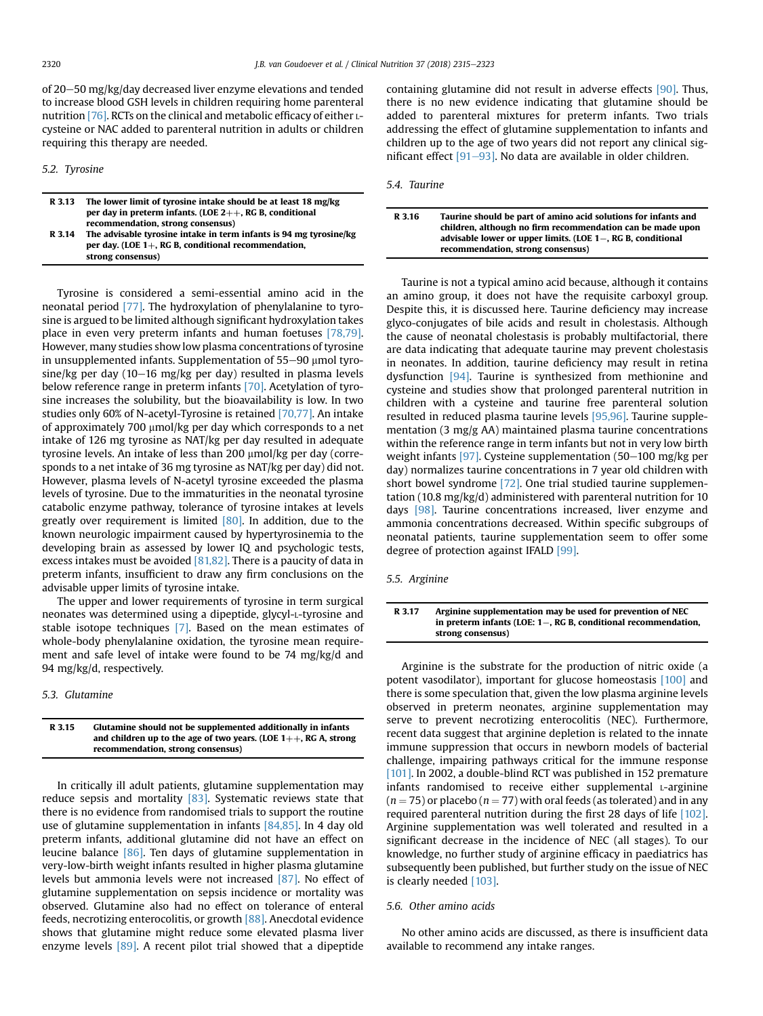of 20–50 mg/kg/day decreased liver enzyme elevations and tended to increase blood GSH levels in children requiring home parenteral nutrition [\[76\]](#page-7-0). RCTs on the clinical and metabolic efficacy of either Lcysteine or NAC added to parenteral nutrition in adults or children requiring this therapy are needed.

#### 5.2. Tyrosine

| R 3.13 | The lower limit of tyrosine intake should be at least 18 mg/kg     |
|--------|--------------------------------------------------------------------|
|        | per day in preterm infants. (LOE $2++$ , RG B, conditional         |
|        | recommendation, strong consensus)                                  |
| R 3.14 | The advisable tyrosine intake in term infants is 94 mg tyrosine/kg |
|        | per day. (LOE $1+$ , RG B, conditional recommendation,             |
|        | strong consensus)                                                  |

Tyrosine is considered a semi-essential amino acid in the neonatal period [\[77\]](#page-7-0). The hydroxylation of phenylalanine to tyrosine is argued to be limited although significant hydroxylation takes place in even very preterm infants and human foetuses [\[78,79\].](#page-7-0) However, many studies show low plasma concentrations of tyrosine in unsupplemented infants. Supplementation of  $55-90$  µmol tyro $sine/kg$  per day (10-16 mg/kg per day) resulted in plasma levels below reference range in preterm infants [\[70\].](#page-7-0) Acetylation of tyrosine increases the solubility, but the bioavailability is low. In two studies only 60% of N-acetyl-Tyrosine is retained [\[70,77\].](#page-7-0) An intake of approximately 700 µmol/kg per day which corresponds to a net intake of 126 mg tyrosine as NAT/kg per day resulted in adequate tyrosine levels. An intake of less than 200 µmol/kg per day (corresponds to a net intake of 36 mg tyrosine as NAT/kg per day) did not. However, plasma levels of N-acetyl tyrosine exceeded the plasma levels of tyrosine. Due to the immaturities in the neonatal tyrosine catabolic enzyme pathway, tolerance of tyrosine intakes at levels greatly over requirement is limited [\[80\]](#page-7-0). In addition, due to the known neurologic impairment caused by hypertyrosinemia to the developing brain as assessed by lower IQ and psychologic tests, excess intakes must be avoided  $[81,82]$ . There is a paucity of data in preterm infants, insufficient to draw any firm conclusions on the advisable upper limits of tyrosine intake.

The upper and lower requirements of tyrosine in term surgical neonates was determined using a dipeptide, glycyl-L-tyrosine and stable isotope techniques [\[7\]](#page-6-0). Based on the mean estimates of whole-body phenylalanine oxidation, the tyrosine mean requirement and safe level of intake were found to be 74 mg/kg/d and 94 mg/kg/d, respectively.

5.3. Glutamine

#### R 3.15 Glutamine should not be supplemented additionally in infants and children up to the age of two years. (LOE  $1++$ , RG A, strong recommendation, strong consensus)

In critically ill adult patients, glutamine supplementation may reduce sepsis and mortality  $[83]$ . Systematic reviews state that there is no evidence from randomised trials to support the routine use of glutamine supplementation in infants [\[84,85\].](#page-7-0) In 4 day old preterm infants, additional glutamine did not have an effect on leucine balance [\[86\].](#page-7-0) Ten days of glutamine supplementation in very-low-birth weight infants resulted in higher plasma glutamine levels but ammonia levels were not increased [\[87\]](#page-7-0). No effect of glutamine supplementation on sepsis incidence or mortality was observed. Glutamine also had no effect on tolerance of enteral feeds, necrotizing enterocolitis, or growth [\[88\].](#page-7-0) Anecdotal evidence shows that glutamine might reduce some elevated plasma liver enzyme levels [\[89\].](#page-7-0) A recent pilot trial showed that a dipeptide containing glutamine did not result in adverse effects [\[90\].](#page-7-0) Thus, there is no new evidence indicating that glutamine should be added to parenteral mixtures for preterm infants. Two trials addressing the effect of glutamine supplementation to infants and children up to the age of two years did not report any clinical significant effect  $[91-93]$  $[91-93]$  $[91-93]$ . No data are available in older children.

### 5.4. Taurine

| R 3.16 | Taurine should be part of amino acid solutions for infants and |
|--------|----------------------------------------------------------------|
|        | children, although no firm recommendation can be made upon     |
|        | advisable lower or upper limits. (LOE 1–, RG B, conditional    |
|        | recommendation, strong consensus)                              |

Taurine is not a typical amino acid because, although it contains an amino group, it does not have the requisite carboxyl group. Despite this, it is discussed here. Taurine deficiency may increase glyco-conjugates of bile acids and result in cholestasis. Although the cause of neonatal cholestasis is probably multifactorial, there are data indicating that adequate taurine may prevent cholestasis in neonates. In addition, taurine deficiency may result in retina dysfunction [\[94\].](#page-7-0) Taurine is synthesized from methionine and cysteine and studies show that prolonged parenteral nutrition in children with a cysteine and taurine free parenteral solution resulted in reduced plasma taurine levels [\[95,96\].](#page-7-0) Taurine supplementation (3 mg/g AA) maintained plasma taurine concentrations within the reference range in term infants but not in very low birth weight infants [\[97\].](#page-7-0) Cysteine supplementation  $(50-100 \text{ mg/kg per})$ day) normalizes taurine concentrations in 7 year old children with short bowel syndrome [\[72\].](#page-7-0) One trial studied taurine supplementation (10.8 mg/kg/d) administered with parenteral nutrition for 10 days [\[98\]](#page-7-0). Taurine concentrations increased, liver enzyme and ammonia concentrations decreased. Within specific subgroups of neonatal patients, taurine supplementation seem to offer some degree of protection against IFALD [\[99\]](#page-7-0).

## 5.5. Arginine

R 3.17 Arginine supplementation may be used for prevention of NEC in preterm infants (LOE:  $1-$ , RG B, conditional recommendation, strong consensus)

Arginine is the substrate for the production of nitric oxide (a potent vasodilator), important for glucose homeostasis [\[100\]](#page-8-0) and there is some speculation that, given the low plasma arginine levels observed in preterm neonates, arginine supplementation may serve to prevent necrotizing enterocolitis (NEC). Furthermore, recent data suggest that arginine depletion is related to the innate immune suppression that occurs in newborn models of bacterial challenge, impairing pathways critical for the immune response [\[101\]](#page-8-0). In 2002, a double-blind RCT was published in 152 premature infants randomised to receive either supplemental L-arginine  $(n = 75)$  or placebo  $(n = 77)$  with oral feeds (as tolerated) and in any required parenteral nutrition during the first 28 days of life [\[102\].](#page-8-0) Arginine supplementation was well tolerated and resulted in a significant decrease in the incidence of NEC (all stages). To our knowledge, no further study of arginine efficacy in paediatrics has subsequently been published, but further study on the issue of NEC is clearly needed [\[103\].](#page-8-0)

#### 5.6. Other amino acids

No other amino acids are discussed, as there is insufficient data available to recommend any intake ranges.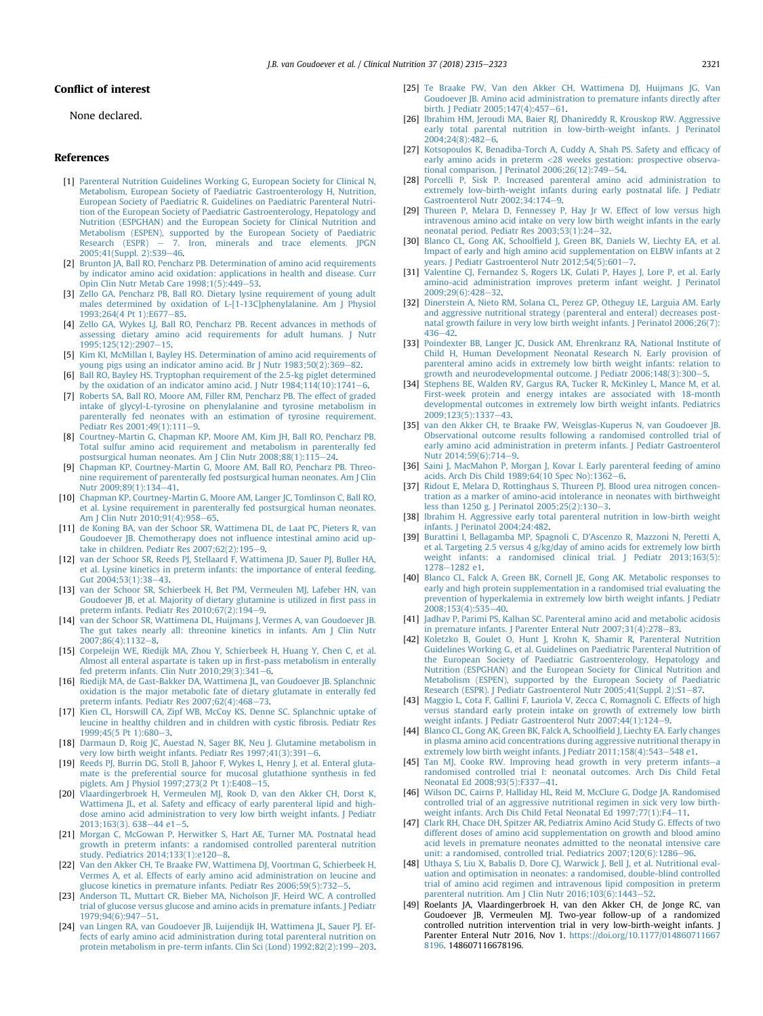### <span id="page-6-0"></span>Conflict of interest

None declared.

## References

- [1] [Parenteral Nutrition Guidelines Working G, European Society for Clinical N,](http://refhub.elsevier.com/S0261-5614(18)31164-6/sref1) [Metabolism, European Society of Paediatric Gastroenterology H, Nutrition,](http://refhub.elsevier.com/S0261-5614(18)31164-6/sref1) [European Society of Paediatric R. Guidelines on Paediatric Parenteral Nutri](http://refhub.elsevier.com/S0261-5614(18)31164-6/sref1)[tion of the European Society of Paediatric Gastroenterology, Hepatology and](http://refhub.elsevier.com/S0261-5614(18)31164-6/sref1) [Nutrition \(ESPGHAN\) and the European Society for Clinical Nutrition and](http://refhub.elsevier.com/S0261-5614(18)31164-6/sref1) [Metabolism \(ESPEN\), supported by the European Society of Paediatric](http://refhub.elsevier.com/S0261-5614(18)31164-6/sref1)<br>Research (ESPR) – 7. Iron, minerals and trace elements, IPGN [7. Iron, minerals and trace elements. JPGN](http://refhub.elsevier.com/S0261-5614(18)31164-6/sref1) [2005;41\(Suppl. 2\):S39](http://refhub.elsevier.com/S0261-5614(18)31164-6/sref1)-[46.](http://refhub.elsevier.com/S0261-5614(18)31164-6/sref1)
- [2] [Brunton JA, Ball RO, Pencharz PB. Determination of amino acid requirements](http://refhub.elsevier.com/S0261-5614(18)31164-6/sref2) [by indicator amino acid oxidation: applications in health and disease. Curr](http://refhub.elsevier.com/S0261-5614(18)31164-6/sref2) Opin Clin Nutr Metab Care  $1998;1(5):449-53$  $1998;1(5):449-53$ .
- [3] [Zello GA, Pencharz PB, Ball RO. Dietary lysine requirement of young adult](http://refhub.elsevier.com/S0261-5614(18)31164-6/sref3) [males determined by oxidation of L-\[1-13C\]phenylalanine. Am J Physiol](http://refhub.elsevier.com/S0261-5614(18)31164-6/sref3) [1993;264\(4 Pt 1\):E677](http://refhub.elsevier.com/S0261-5614(18)31164-6/sref3)-[85.](http://refhub.elsevier.com/S0261-5614(18)31164-6/sref3)
- [4] [Zello GA, Wykes LJ, Ball RO, Pencharz PB. Recent advances in methods of](http://refhub.elsevier.com/S0261-5614(18)31164-6/sref4) [assessing dietary amino acid requirements for adult humans. J Nutr](http://refhub.elsevier.com/S0261-5614(18)31164-6/sref4) 1995:125(12):2907-[15](http://refhub.elsevier.com/S0261-5614(18)31164-6/sref4).
- [5] [Kim KI, McMillan I, Bayley HS. Determination of amino acid requirements of](http://refhub.elsevier.com/S0261-5614(18)31164-6/sref5) young pigs using an indicator amino acid. Br J Nutr  $1983;50(2):369-82$ .
- [6] [Ball RO, Bayley HS. Tryptophan requirement of the 2.5-kg piglet determined](http://refhub.elsevier.com/S0261-5614(18)31164-6/sref6) by the oxidation of an indicator amino acid. J Nutr  $1984;114(10):1741-6$ .
- [7] [Roberts SA, Ball RO, Moore AM, Filler RM, Pencharz PB. The effect of graded](http://refhub.elsevier.com/S0261-5614(18)31164-6/sref7) [intake of glycyl-L-tyrosine on phenylalanine and tyrosine metabolism in](http://refhub.elsevier.com/S0261-5614(18)31164-6/sref7) [parenterally fed neonates with an estimation of tyrosine requirement.](http://refhub.elsevier.com/S0261-5614(18)31164-6/sref7) [Pediatr Res 2001;49\(1\):111](http://refhub.elsevier.com/S0261-5614(18)31164-6/sref7)-[9.](http://refhub.elsevier.com/S0261-5614(18)31164-6/sref7)
- [8] [Courtney-Martin G, Chapman KP, Moore AM, Kim JH, Ball RO, Pencharz PB.](http://refhub.elsevier.com/S0261-5614(18)31164-6/sref8) [Total sulfur amino acid requirement and metabolism in parenterally fed](http://refhub.elsevier.com/S0261-5614(18)31164-6/sref8) [postsurgical human neonates. Am J Clin Nutr 2008;88\(1\):115](http://refhub.elsevier.com/S0261-5614(18)31164-6/sref8)-[24](http://refhub.elsevier.com/S0261-5614(18)31164-6/sref8).
- [9] [Chapman KP, Courtney-Martin G, Moore AM, Ball RO, Pencharz PB. Threo](http://refhub.elsevier.com/S0261-5614(18)31164-6/sref9)[nine requirement of parenterally fed postsurgical human neonates. Am J Clin](http://refhub.elsevier.com/S0261-5614(18)31164-6/sref9) [Nutr 2009;89\(1\):134](http://refhub.elsevier.com/S0261-5614(18)31164-6/sref9)-[41](http://refhub.elsevier.com/S0261-5614(18)31164-6/sref9).
- [10] [Chapman KP, Courtney-Martin G, Moore AM, Langer JC, Tomlinson C, Ball RO,](http://refhub.elsevier.com/S0261-5614(18)31164-6/sref10) [et al. Lysine requirement in parenterally fed postsurgical human neonates.](http://refhub.elsevier.com/S0261-5614(18)31164-6/sref10) [Am J Clin Nutr 2010;91\(4\):958](http://refhub.elsevier.com/S0261-5614(18)31164-6/sref10)-[65](http://refhub.elsevier.com/S0261-5614(18)31164-6/sref10).
- [11] [de Koning BA, van der Schoor SR, Wattimena DL, de Laat PC, Pieters R, van](http://refhub.elsevier.com/S0261-5614(18)31164-6/sref11) [Goudoever JB. Chemotherapy does not in](http://refhub.elsevier.com/S0261-5614(18)31164-6/sref11)fluence intestinal amino acid up-<br>[take in children. Pediatr Res 2007;62\(2\):195](http://refhub.elsevier.com/S0261-5614(18)31164-6/sref11)–[9.](http://refhub.elsevier.com/S0261-5614(18)31164-6/sref11)
- [12] [van der Schoor SR, Reeds PJ, Stellaard F, Wattimena JD, Sauer PJ, Buller HA,](http://refhub.elsevier.com/S0261-5614(18)31164-6/sref12) [et al. Lysine kinetics in preterm infants: the importance of enteral feeding.](http://refhub.elsevier.com/S0261-5614(18)31164-6/sref12) [Gut 2004;53\(1\):38](http://refhub.elsevier.com/S0261-5614(18)31164-6/sref12)-[43.](http://refhub.elsevier.com/S0261-5614(18)31164-6/sref12)
- [13] [van der Schoor SR, Schierbeek H, Bet PM, Vermeulen MJ, Lafeber HN, van](http://refhub.elsevier.com/S0261-5614(18)31164-6/sref13) [Goudoever JB, et al. Majority of dietary glutamine is utilized in](http://refhub.elsevier.com/S0261-5614(18)31164-6/sref13) first pass in preterm infants. Pediatr Res  $2010;67(2):194-9$  $2010;67(2):194-9$  $2010;67(2):194-9$ .
- [14] [van der Schoor SR, Wattimena DL, Huijmans J, Vermes A, van Goudoever JB.](http://refhub.elsevier.com/S0261-5614(18)31164-6/sref14) [The gut takes nearly all: threonine kinetics in infants. Am J Clin Nutr](http://refhub.elsevier.com/S0261-5614(18)31164-6/sref14)  $2007;86(4):1132-8.$  $2007;86(4):1132-8.$  $2007;86(4):1132-8.$  $2007;86(4):1132-8.$
- [15] [Corpeleijn WE, Riedijk MA, Zhou Y, Schierbeek H, Huang Y, Chen C, et al.](http://refhub.elsevier.com/S0261-5614(18)31164-6/sref15) [Almost all enteral aspartate is taken up in](http://refhub.elsevier.com/S0261-5614(18)31164-6/sref15) first-pass metabolism in enterally fed preterm infants. Clin Nutr  $2010:29(3):341-6$ .
- [16] [Riedijk MA, de Gast-Bakker DA, Wattimena JL, van Goudoever JB. Splanchnic](http://refhub.elsevier.com/S0261-5614(18)31164-6/sref16) [oxidation is the major metabolic fate of dietary glutamate in enterally fed](http://refhub.elsevier.com/S0261-5614(18)31164-6/sref16) preterm infants. Pediatr Res  $2007;62(4):468-73$  $2007;62(4):468-73$ .
- [17] [Kien CL, Horswill CA, Zipf WB, McCoy KS, Denne SC. Splanchnic uptake of](http://refhub.elsevier.com/S0261-5614(18)31164-6/sref17) [leucine in healthy children and in children with cystic](http://refhub.elsevier.com/S0261-5614(18)31164-6/sref17) fibrosis. Pediatr Res  $1999:45(5 \text{ Pt} 1):680-3$
- [18] [Darmaun D, Roig JC, Auestad N, Sager BK, Neu J. Glutamine metabolism in](http://refhub.elsevier.com/S0261-5614(18)31164-6/sref18) very low birth weight infants. Pediatr Res  $1997:41(3):391-6$ .
- [19] [Reeds PJ, Burrin DG, Stoll B, Jahoor F, Wykes L, Henry J, et al. Enteral gluta](http://refhub.elsevier.com/S0261-5614(18)31164-6/sref19)[mate is the preferential source for mucosal glutathione synthesis in fed](http://refhub.elsevier.com/S0261-5614(18)31164-6/sref19) [piglets. Am J Physiol 1997;273\(2 Pt 1\):E408](http://refhub.elsevier.com/S0261-5614(18)31164-6/sref19)-[15.](http://refhub.elsevier.com/S0261-5614(18)31164-6/sref19)
- [20] [Vlaardingerbroek H, Vermeulen MJ, Rook D, van den Akker CH, Dorst K,](http://refhub.elsevier.com/S0261-5614(18)31164-6/sref20) Wattimena JL, et al. Safety and effi[cacy of early parenteral lipid and high](http://refhub.elsevier.com/S0261-5614(18)31164-6/sref20)[dose amino acid administration to very low birth weight infants. J Pediatr](http://refhub.elsevier.com/S0261-5614(18)31164-6/sref20)  $2013;163(3)$ . 638-[44 e1](http://refhub.elsevier.com/S0261-5614(18)31164-6/sref20)-[5.](http://refhub.elsevier.com/S0261-5614(18)31164-6/sref20)
- [21] [Morgan C, McGowan P, Herwitker S, Hart AE, Turner MA. Postnatal head](http://refhub.elsevier.com/S0261-5614(18)31164-6/sref21) [growth in preterm infants: a randomised controlled parenteral nutrition](http://refhub.elsevier.com/S0261-5614(18)31164-6/sref21) study. Pediatrics 2014:133(1):e120-[8.](http://refhub.elsevier.com/S0261-5614(18)31164-6/sref21)
- [22] [Van den Akker CH, Te Braake FW, Wattimena DJ, Voortman G, Schierbeek H,](http://refhub.elsevier.com/S0261-5614(18)31164-6/sref22) [Vermes A, et al. Effects of early amino acid administration on leucine and](http://refhub.elsevier.com/S0261-5614(18)31164-6/sref22) [glucose kinetics in premature infants. Pediatr Res 2006;59\(5\):732](http://refhub.elsevier.com/S0261-5614(18)31164-6/sref22)-[5](http://refhub.elsevier.com/S0261-5614(18)31164-6/sref22).
- [23] [Anderson TL, Muttart CR, Bieber MA, Nicholson JF, Heird WC. A controlled](http://refhub.elsevier.com/S0261-5614(18)31164-6/sref23) [trial of glucose versus glucose and amino acids in premature infants. J Pediatr](http://refhub.elsevier.com/S0261-5614(18)31164-6/sref23) [1979;94\(6\):947](http://refhub.elsevier.com/S0261-5614(18)31164-6/sref23)-[51](http://refhub.elsevier.com/S0261-5614(18)31164-6/sref23).
- [24] [van Lingen RA, van Goudoever JB, Luijendijk IH, Wattimena JL, Sauer PJ. Ef](http://refhub.elsevier.com/S0261-5614(18)31164-6/sref24)[fects of early amino acid administration during total parenteral nutrition on](http://refhub.elsevier.com/S0261-5614(18)31164-6/sref24) [protein metabolism in pre-term infants. Clin Sci \(Lond\) 1992;82\(2\):199](http://refhub.elsevier.com/S0261-5614(18)31164-6/sref24)-[203](http://refhub.elsevier.com/S0261-5614(18)31164-6/sref24).
- [25] [Te Braake FW, Van den Akker CH, Wattimena DJ, Huijmans JG, Van](http://refhub.elsevier.com/S0261-5614(18)31164-6/sref25) [Goudoever JB. Amino acid administration to premature infants directly after](http://refhub.elsevier.com/S0261-5614(18)31164-6/sref25) [birth. J Pediatr 2005;147\(4\):457](http://refhub.elsevier.com/S0261-5614(18)31164-6/sref25)-[61.](http://refhub.elsevier.com/S0261-5614(18)31164-6/sref25)
- [26] [Ibrahim HM, Jeroudi MA, Baier RJ, Dhanireddy R, Krouskop RW. Aggressive](http://refhub.elsevier.com/S0261-5614(18)31164-6/sref26) early total parental nutrition in low-birth-weight infants. I Perinatol  $2004;24(8):482-6.$  $2004;24(8):482-6.$  $2004;24(8):482-6.$  $2004;24(8):482-6.$
- [27] [Kotsopoulos K, Benadiba-Torch A, Cuddy A, Shah PS. Safety and ef](http://refhub.elsevier.com/S0261-5614(18)31164-6/sref27)ficacy of early amino acids in preterm <[28 weeks gestation: prospective observa](http://refhub.elsevier.com/S0261-5614(18)31164-6/sref27)tional comparison. J Perinatol  $2006:26(12):749-54$ .
- [28] [Porcelli P, Sisk P. Increased parenteral amino acid administration to](http://refhub.elsevier.com/S0261-5614(18)31164-6/sref28) [extremely low-birth-weight infants during early postnatal life. J Pediatr](http://refhub.elsevier.com/S0261-5614(18)31164-6/sref28) Gastroenterol Nutr  $2002;34:174-9$ .
- [29] [Thureen P, Melara D, Fennessey P, Hay Jr W. Effect of low versus high](http://refhub.elsevier.com/S0261-5614(18)31164-6/sref29) [intravenous amino acid intake on very low birth weight infants in the early](http://refhub.elsevier.com/S0261-5614(18)31164-6/sref29) neonatal period. Pediatr Res  $2003;53(1):24-32$ .
- [30] Blanco CL, Gong AK, Schoolfi[eld J, Green BK, Daniels W, Liechty EA, et al.](http://refhub.elsevier.com/S0261-5614(18)31164-6/sref30) [Impact of early and high amino acid supplementation on ELBW infants at 2](http://refhub.elsevier.com/S0261-5614(18)31164-6/sref30) years. J Pediatr Gastroenterol Nutr  $2012:54(5):601-7$ .
- [31] [Valentine CJ, Fernandez S, Rogers LK, Gulati P, Hayes J, Lore P, et al. Early](http://refhub.elsevier.com/S0261-5614(18)31164-6/sref31) [amino-acid administration improves preterm infant weight. J Perinatol](http://refhub.elsevier.com/S0261-5614(18)31164-6/sref31)  $2009.29(6)$ :428-[32](http://refhub.elsevier.com/S0261-5614(18)31164-6/sref31).
- [32] [Dinerstein A, Nieto RM, Solana CL, Perez GP, Otheguy LE, Larguia AM. Early](http://refhub.elsevier.com/S0261-5614(18)31164-6/sref32) [and aggressive nutritional strategy \(parenteral and enteral\) decreases post](http://refhub.elsevier.com/S0261-5614(18)31164-6/sref32)[natal growth failure in very low birth weight infants. J Perinatol 2006;26\(7\):](http://refhub.elsevier.com/S0261-5614(18)31164-6/sref32)  $436 - 42$  $436 - 42$  $436 - 42$
- [33] [Poindexter BB, Langer JC, Dusick AM, Ehrenkranz RA, National Institute of](http://refhub.elsevier.com/S0261-5614(18)31164-6/sref33) [Child H, Human Development Neonatal Research N. Early provision of](http://refhub.elsevier.com/S0261-5614(18)31164-6/sref33) [parenteral amino acids in extremely low birth weight infants: relation to](http://refhub.elsevier.com/S0261-5614(18)31164-6/sref33) [growth and neurodevelopmental outcome. J Pediatr 2006;148\(3\):300](http://refhub.elsevier.com/S0261-5614(18)31164-6/sref33)-[5.](http://refhub.elsevier.com/S0261-5614(18)31164-6/sref33)
- [34] [Stephens BE, Walden RV, Gargus RA, Tucker R, McKinley L, Mance M, et al.](http://refhub.elsevier.com/S0261-5614(18)31164-6/sref34) [First-week protein and energy intakes are associated with 18-month](http://refhub.elsevier.com/S0261-5614(18)31164-6/sref34) [developmental outcomes in extremely low birth weight infants. Pediatrics](http://refhub.elsevier.com/S0261-5614(18)31164-6/sref34) [2009;123\(5\):1337](http://refhub.elsevier.com/S0261-5614(18)31164-6/sref34)-[43.](http://refhub.elsevier.com/S0261-5614(18)31164-6/sref34)
- [35] [van den Akker CH, te Braake FW, Weisglas-Kuperus N, van Goudoever JB.](http://refhub.elsevier.com/S0261-5614(18)31164-6/sref35) [Observational outcome results following a randomised controlled trial of](http://refhub.elsevier.com/S0261-5614(18)31164-6/sref35) [early amino acid administration in preterm infants. J Pediatr Gastroenterol](http://refhub.elsevier.com/S0261-5614(18)31164-6/sref35) [Nutr 2014;59\(6\):714](http://refhub.elsevier.com/S0261-5614(18)31164-6/sref35)-[9.](http://refhub.elsevier.com/S0261-5614(18)31164-6/sref35)
- [36] [Saini J, MacMahon P, Morgan J, Kovar I. Early parenteral feeding of amino](http://refhub.elsevier.com/S0261-5614(18)31164-6/sref36) [acids. Arch Dis Child 1989;64\(10 Spec No\):1362](http://refhub.elsevier.com/S0261-5614(18)31164-6/sref36)-[6.](http://refhub.elsevier.com/S0261-5614(18)31164-6/sref36)
- [37] [Ridout E, Melara D, Rottinghaus S, Thureen PJ. Blood urea nitrogen concen](http://refhub.elsevier.com/S0261-5614(18)31164-6/sref37)[tration as a marker of amino-acid intolerance in neonates with birthweight](http://refhub.elsevier.com/S0261-5614(18)31164-6/sref37) [less than 1250 g. J Perinatol 2005;25\(2\):130](http://refhub.elsevier.com/S0261-5614(18)31164-6/sref37)-[3](http://refhub.elsevier.com/S0261-5614(18)31164-6/sref37).
- [38] [Ibrahim H. Aggressive early total parenteral nutrition in low-birth weight](http://refhub.elsevier.com/S0261-5614(18)31164-6/sref38) [infants. J Perinatol 2004;24:482](http://refhub.elsevier.com/S0261-5614(18)31164-6/sref38).
- [39] [Burattini I, Bellagamba MP, Spagnoli C, D'Ascenzo R, Mazzoni N, Peretti A,](http://refhub.elsevier.com/S0261-5614(18)31164-6/sref39) [et al. Targeting 2.5 versus 4 g/kg/day of amino acids for extremely low birth](http://refhub.elsevier.com/S0261-5614(18)31164-6/sref39) [weight infants: a randomised clinical trial. J Pediatr 2013;163\(5\):](http://refhub.elsevier.com/S0261-5614(18)31164-6/sref39) [1278](http://refhub.elsevier.com/S0261-5614(18)31164-6/sref39)-[1282 e1](http://refhub.elsevier.com/S0261-5614(18)31164-6/sref39).
- [40] [Blanco CL, Falck A, Green BK, Cornell JE, Gong AK. Metabolic responses to](http://refhub.elsevier.com/S0261-5614(18)31164-6/sref40) [early and high protein supplementation in a randomised trial evaluating the](http://refhub.elsevier.com/S0261-5614(18)31164-6/sref40) [prevention of hyperkalemia in extremely low birth weight infants. J Pediatr](http://refhub.elsevier.com/S0261-5614(18)31164-6/sref40) [2008;153\(4\):535](http://refhub.elsevier.com/S0261-5614(18)31164-6/sref40)-[40](http://refhub.elsevier.com/S0261-5614(18)31164-6/sref40).
- [41] [Jadhav P, Parimi PS, Kalhan SC. Parenteral amino acid and metabolic acidosis](http://refhub.elsevier.com/S0261-5614(18)31164-6/sref41) [in premature infants. J Parenter Enteral Nutr 2007;31\(4\):278](http://refhub.elsevier.com/S0261-5614(18)31164-6/sref41)-[83](http://refhub.elsevier.com/S0261-5614(18)31164-6/sref41).
- [42] [Koletzko B, Goulet O, Hunt J, Krohn K, Shamir R, Parenteral Nutrition](http://refhub.elsevier.com/S0261-5614(18)31164-6/sref42) [Guidelines Working G, et al. Guidelines on Paediatric Parenteral Nutrition of](http://refhub.elsevier.com/S0261-5614(18)31164-6/sref42) [the European Society of Paediatric Gastroenterology, Hepatology and](http://refhub.elsevier.com/S0261-5614(18)31164-6/sref42) [Nutrition \(ESPGHAN\) and the European Society for Clinical Nutrition and](http://refhub.elsevier.com/S0261-5614(18)31164-6/sref42) [Metabolism \(ESPEN\), supported by the European Society of Paediatric](http://refhub.elsevier.com/S0261-5614(18)31164-6/sref42) [Research \(ESPR\). J Pediatr Gastroenterol Nutr 2005;41\(Suppl. 2\):S1](http://refhub.elsevier.com/S0261-5614(18)31164-6/sref42)-[87.](http://refhub.elsevier.com/S0261-5614(18)31164-6/sref42)
- [43] [Maggio L, Cota F, Gallini F, Lauriola V, Zecca C, Romagnoli C. Effects of high](http://refhub.elsevier.com/S0261-5614(18)31164-6/sref43) [versus standard early protein intake on growth of extremely low birth](http://refhub.elsevier.com/S0261-5614(18)31164-6/sref43) [weight infants. J Pediatr Gastroenterol Nutr 2007;44\(1\):124](http://refhub.elsevier.com/S0261-5614(18)31164-6/sref43)-[9.](http://refhub.elsevier.com/S0261-5614(18)31164-6/sref43)
- [44] [Blanco CL, Gong AK, Green BK, Falck A, School](http://refhub.elsevier.com/S0261-5614(18)31164-6/sref44)field J, Liechty EA, Early changes [in plasma amino acid concentrations during aggressive nutritional therapy in](http://refhub.elsevier.com/S0261-5614(18)31164-6/sref44) [extremely low birth weight infants. J Pediatr 2011;158\(4\):543](http://refhub.elsevier.com/S0261-5614(18)31164-6/sref44)-[548 e1](http://refhub.elsevier.com/S0261-5614(18)31164-6/sref44).
- [45] [Tan MJ, Cooke RW. Improving head growth in very preterm infants](http://refhub.elsevier.com/S0261-5614(18)31164-6/sref45)-[a](http://refhub.elsevier.com/S0261-5614(18)31164-6/sref45) [randomised controlled trial I: neonatal outcomes. Arch Dis Child Fetal](http://refhub.elsevier.com/S0261-5614(18)31164-6/sref45) [Neonatal Ed 2008;93\(5\):F337](http://refhub.elsevier.com/S0261-5614(18)31164-6/sref45)-[41.](http://refhub.elsevier.com/S0261-5614(18)31164-6/sref45)
- [46] [Wilson DC, Cairns P, Halliday HL, Reid M, McClure G, Dodge JA. Randomised](http://refhub.elsevier.com/S0261-5614(18)31164-6/sref46) [controlled trial of an aggressive nutritional regimen in sick very low birth](http://refhub.elsevier.com/S0261-5614(18)31164-6/sref46)[weight infants. Arch Dis Child Fetal Neonatal Ed 1997;77\(1\):F4](http://refhub.elsevier.com/S0261-5614(18)31164-6/sref46)-[11.](http://refhub.elsevier.com/S0261-5614(18)31164-6/sref46)
- [47] [Clark RH, Chace DH, Spitzer AR, Pediatrix Amino Acid Study G. Effects of two](http://refhub.elsevier.com/S0261-5614(18)31164-6/sref47) [different doses of amino acid supplementation on growth and blood amino](http://refhub.elsevier.com/S0261-5614(18)31164-6/sref47) [acid levels in premature neonates admitted to the neonatal intensive care](http://refhub.elsevier.com/S0261-5614(18)31164-6/sref47) unit: a randomised, controlled trial. Pediatrics  $2007;120(6):1286-96$ .
- [48] [Uthaya S, Liu X, Babalis D, Dore CJ, Warwick J, Bell J, et al. Nutritional eval](http://refhub.elsevier.com/S0261-5614(18)31164-6/sref48)[uation and optimisation in neonates: a randomised, double-blind controlled](http://refhub.elsevier.com/S0261-5614(18)31164-6/sref48) [trial of amino acid regimen and intravenous lipid composition in preterm](http://refhub.elsevier.com/S0261-5614(18)31164-6/sref48) parenteral nutrition. Am J Clin Nutr  $2016;103(6):1443-52$  $2016;103(6):1443-52$ .
- [49] Roelants JA, Vlaardingerbroek H, van den Akker CH, de Jonge RC, van Goudoever JB, Vermeulen MJ. Two-year follow-up of a randomized controlled nutrition intervention trial in very low-birth-weight infants. J Parenter Enteral Nutr 2016, Nov 1. [https://doi.org/10.1177/014860711667](https://doi.org/10.1177/0148607116678196) [8196.](https://doi.org/10.1177/0148607116678196) 148607116678196.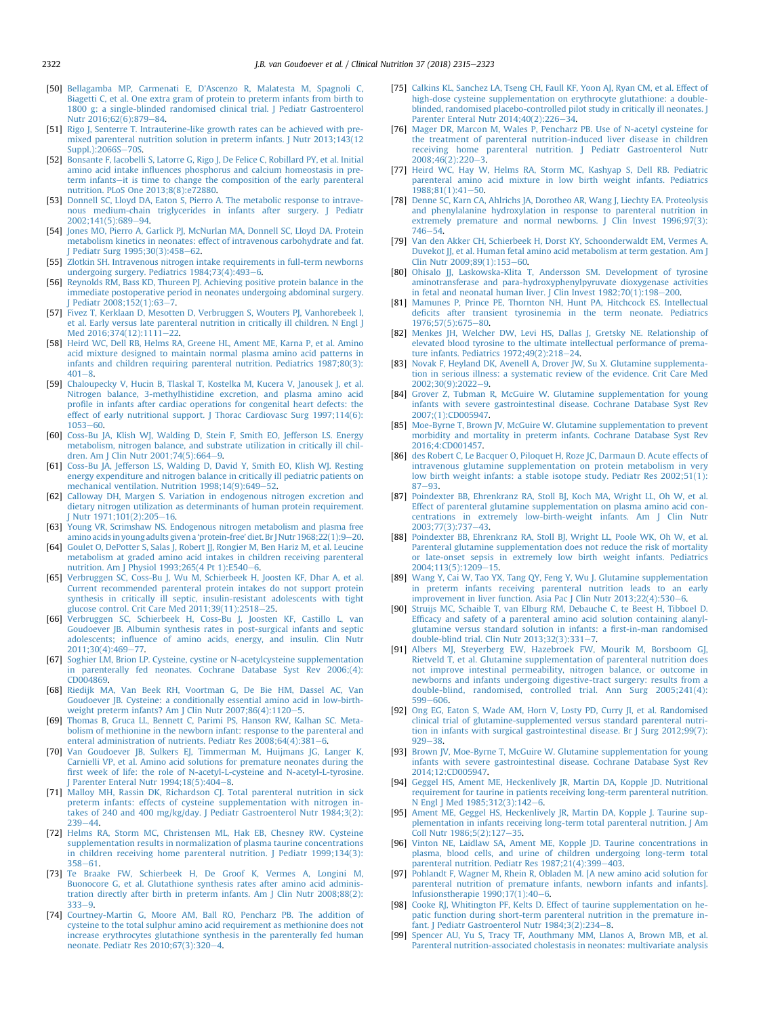- <span id="page-7-0"></span>[50] [Bellagamba MP, Carmenati E, D'Ascenzo R, Malatesta M, Spagnoli C,](http://refhub.elsevier.com/S0261-5614(18)31164-6/sref50) [Biagetti C, et al. One extra gram of protein to preterm infants from birth to](http://refhub.elsevier.com/S0261-5614(18)31164-6/sref50) [1800 g: a single-blinded randomised clinical trial. J Pediatr Gastroenterol](http://refhub.elsevier.com/S0261-5614(18)31164-6/sref50) [Nutr 2016;62\(6\):879](http://refhub.elsevier.com/S0261-5614(18)31164-6/sref50)-[84.](http://refhub.elsevier.com/S0261-5614(18)31164-6/sref50)
- [51] [Rigo J, Senterre T. Intrauterine-like growth rates can be achieved with pre](http://refhub.elsevier.com/S0261-5614(18)31164-6/sref51)[mixed parenteral nutrition solution in preterm infants. J Nutr 2013;143\(12](http://refhub.elsevier.com/S0261-5614(18)31164-6/sref51)  $Supp.$ ): $2066S - 70S$ .
- [52] [Bonsante F, Iacobelli S, Latorre G, Rigo J, De Felice C, Robillard PY, et al. Initial](http://refhub.elsevier.com/S0261-5614(18)31164-6/sref52) amino acid intake infl[uences phosphorus and calcium homeostasis in pre](http://refhub.elsevier.com/S0261-5614(18)31164-6/sref52)[term infants](http://refhub.elsevier.com/S0261-5614(18)31164-6/sref52)-[it is time to change the composition of the early parenteral](http://refhub.elsevier.com/S0261-5614(18)31164-6/sref52) [nutrition. PLoS One 2013;8\(8\):e72880.](http://refhub.elsevier.com/S0261-5614(18)31164-6/sref52)
- [53] Donnell SC, Lloyd DA, Eaton S, Pierro A, The metabolic response to intrave[nous medium-chain triglycerides in infants after surgery. J Pediatr](http://refhub.elsevier.com/S0261-5614(18)31164-6/sref53)  $2002:141(5):689-94.$  $2002:141(5):689-94.$  $2002:141(5):689-94.$
- [54] [Jones MO, Pierro A, Garlick PJ, McNurlan MA, Donnell SC, Lloyd DA. Protein](http://refhub.elsevier.com/S0261-5614(18)31164-6/sref54) [metabolism kinetics in neonates: effect of intravenous carbohydrate and fat.](http://refhub.elsevier.com/S0261-5614(18)31164-6/sref54)  $I$  Pediatr Surg 1995;30(3):458-[62](http://refhub.elsevier.com/S0261-5614(18)31164-6/sref54).
- [55] [Zlotkin SH. Intravenous nitrogen intake requirements in full-term newborns](http://refhub.elsevier.com/S0261-5614(18)31164-6/sref55) [undergoing surgery. Pediatrics 1984;73\(4\):493](http://refhub.elsevier.com/S0261-5614(18)31164-6/sref55)-[6](http://refhub.elsevier.com/S0261-5614(18)31164-6/sref55).
- [56] [Reynolds RM, Bass KD, Thureen PJ. Achieving positive protein balance in the](http://refhub.elsevier.com/S0261-5614(18)31164-6/sref56) [immediate postoperative period in neonates undergoing abdominal surgery.](http://refhub.elsevier.com/S0261-5614(18)31164-6/sref56)  $J$  Pediatr 2008;152(1):63-[7.](http://refhub.elsevier.com/S0261-5614(18)31164-6/sref56)
- [57] [Fivez T, Kerklaan D, Mesotten D, Verbruggen S, Wouters PJ, Vanhorebeek I,](http://refhub.elsevier.com/S0261-5614(18)31164-6/sref57) [et al. Early versus late parenteral nutrition in critically ill children. N Engl J](http://refhub.elsevier.com/S0261-5614(18)31164-6/sref57) Med 2016:374(12):1111-[22.](http://refhub.elsevier.com/S0261-5614(18)31164-6/sref57)
- [58] [Heird WC, Dell RB, Helms RA, Greene HL, Ament ME, Karna P, et al. Amino](http://refhub.elsevier.com/S0261-5614(18)31164-6/sref58) [acid mixture designed to maintain normal plasma amino acid patterns in](http://refhub.elsevier.com/S0261-5614(18)31164-6/sref58) [infants and children requiring parenteral nutrition. Pediatrics 1987;80\(3\):](http://refhub.elsevier.com/S0261-5614(18)31164-6/sref58)  $401 - 8$  $401 - 8$
- [59] [Chaloupecky V, Hucin B, Tlaskal T, Kostelka M, Kucera V, Janousek J, et al.](http://refhub.elsevier.com/S0261-5614(18)31164-6/sref59) [Nitrogen balance, 3-methylhistidine excretion, and plasma amino acid](http://refhub.elsevier.com/S0261-5614(18)31164-6/sref59) profi[le in infants after cardiac operations for congenital heart defects: the](http://refhub.elsevier.com/S0261-5614(18)31164-6/sref59) [effect of early nutritional support. J Thorac Cardiovasc Surg 1997;114\(6\):](http://refhub.elsevier.com/S0261-5614(18)31164-6/sref59)  $1053 - 60$  $1053 - 60$  $1053 - 60$
- [60] [Coss-Bu JA, Klish WJ, Walding D, Stein F, Smith EO, Jefferson LS. Energy](http://refhub.elsevier.com/S0261-5614(18)31164-6/sref60) [metabolism, nitrogen balance, and substrate utilization in critically ill chil](http://refhub.elsevier.com/S0261-5614(18)31164-6/sref60)[dren. Am J Clin Nutr 2001;74\(5\):664](http://refhub.elsevier.com/S0261-5614(18)31164-6/sref60)-[9.](http://refhub.elsevier.com/S0261-5614(18)31164-6/sref60)
- [61] [Coss-Bu JA, Jefferson LS, Walding D, David Y, Smith EO, Klish WJ. Resting](http://refhub.elsevier.com/S0261-5614(18)31164-6/sref61) [energy expenditure and nitrogen balance in critically ill pediatric patients on](http://refhub.elsevier.com/S0261-5614(18)31164-6/sref61) [mechanical ventilation. Nutrition 1998;14\(9\):649](http://refhub.elsevier.com/S0261-5614(18)31164-6/sref61)-[52.](http://refhub.elsevier.com/S0261-5614(18)31164-6/sref61)
- [62] [Calloway DH, Margen S. Variation in endogenous nitrogen excretion and](http://refhub.elsevier.com/S0261-5614(18)31164-6/sref62) [dietary nitrogen utilization as determinants of human protein requirement.](http://refhub.elsevier.com/S0261-5614(18)31164-6/sref62) [J Nutr 1971;101\(2\):205](http://refhub.elsevier.com/S0261-5614(18)31164-6/sref62)-[16.](http://refhub.elsevier.com/S0261-5614(18)31164-6/sref62)
- [63] [Young VR, Scrimshaw NS. Endogenous nitrogen metabolism and plasma free](http://refhub.elsevier.com/S0261-5614(18)31164-6/sref63) amino acids in young adults given a 'protein-free' diet. Br J Nutr 1968; 22(1): 9-[20](http://refhub.elsevier.com/S0261-5614(18)31164-6/sref63).
- [64] [Goulet O, DePotter S, Salas J, Robert JJ, Rongier M, Ben Hariz M, et al. Leucine](http://refhub.elsevier.com/S0261-5614(18)31164-6/sref64) [metabolism at graded amino acid intakes in children receiving parenteral](http://refhub.elsevier.com/S0261-5614(18)31164-6/sref64) [nutrition. Am J Physiol 1993;265\(4 Pt 1\):E540](http://refhub.elsevier.com/S0261-5614(18)31164-6/sref64)-[6](http://refhub.elsevier.com/S0261-5614(18)31164-6/sref64).
- [65] [Verbruggen SC, Coss-Bu J, Wu M, Schierbeek H, Joosten KF, Dhar A, et al.](http://refhub.elsevier.com/S0261-5614(18)31164-6/sref65) [Current recommended parenteral protein intakes do not support protein](http://refhub.elsevier.com/S0261-5614(18)31164-6/sref65) [synthesis in critically ill septic, insulin-resistant adolescents with tight](http://refhub.elsevier.com/S0261-5614(18)31164-6/sref65) lucose control. Crit Care Med 2011;39(11):2518-[25.](http://refhub.elsevier.com/S0261-5614(18)31164-6/sref65)
- [66] [Verbruggen SC, Schierbeek H, Coss-Bu J, Joosten KF, Castillo L, van](http://refhub.elsevier.com/S0261-5614(18)31164-6/sref66) [Goudoever JB. Albumin synthesis rates in post-surgical infants and septic](http://refhub.elsevier.com/S0261-5614(18)31164-6/sref66) adolescents; infl[uence of amino acids, energy, and insulin. Clin Nutr](http://refhub.elsevier.com/S0261-5614(18)31164-6/sref66) [2011;30\(4\):469](http://refhub.elsevier.com/S0261-5614(18)31164-6/sref66)-[77.](http://refhub.elsevier.com/S0261-5614(18)31164-6/sref66)
- [67] [Soghier LM, Brion LP. Cysteine, cystine or N-acetylcysteine supplementation](http://refhub.elsevier.com/S0261-5614(18)31164-6/sref67) parenterally fed neonates. Cochrane Database Syst Rev 2006;(4): [CD004869](http://refhub.elsevier.com/S0261-5614(18)31164-6/sref67).
- [68] [Riedijk MA, Van Beek RH, Voortman G, De Bie HM, Dassel AC, Van](http://refhub.elsevier.com/S0261-5614(18)31164-6/sref68) [Goudoever JB. Cysteine: a conditionally essential amino acid in low-birth](http://refhub.elsevier.com/S0261-5614(18)31164-6/sref68)[weight preterm infants? Am J Clin Nutr 2007;86\(4\):1120](http://refhub.elsevier.com/S0261-5614(18)31164-6/sref68)-[5](http://refhub.elsevier.com/S0261-5614(18)31164-6/sref68).
- [69] [Thomas B, Gruca LL, Bennett C, Parimi PS, Hanson RW, Kalhan SC. Meta](http://refhub.elsevier.com/S0261-5614(18)31164-6/sref69)[bolism of methionine in the newborn infant: response to the parenteral and](http://refhub.elsevier.com/S0261-5614(18)31164-6/sref69) enteral administration of nutrients. Pediatr Res  $2008;64(4):381-6$  $2008;64(4):381-6$  $2008;64(4):381-6$ .
- [70] [Van Goudoever JB, Sulkers EJ, Timmerman M, Huijmans JG, Langer K,](http://refhub.elsevier.com/S0261-5614(18)31164-6/sref70) [Carnielli VP, et al. Amino acid solutions for premature neonates during the](http://refhub.elsevier.com/S0261-5614(18)31164-6/sref70) fi[rst week of life: the role of N-acetyl-L-cysteine and N-acetyl-L-tyrosine.](http://refhub.elsevier.com/S0261-5614(18)31164-6/sref70) J Parenter Enteral Nutr  $1994;18(5):404-8$ .
- [71] [Malloy MH, Rassin DK, Richardson CJ. Total parenteral nutrition in sick](http://refhub.elsevier.com/S0261-5614(18)31164-6/sref71) [preterm infants: effects of cysteine supplementation with nitrogen in](http://refhub.elsevier.com/S0261-5614(18)31164-6/sref71)[takes of 240 and 400 mg/kg/day. J Pediatr Gastroenterol Nutr 1984;3\(2\):](http://refhub.elsevier.com/S0261-5614(18)31164-6/sref71)  $239 - 44.$  $239 - 44.$  $239 - 44.$  $239 - 44.$
- [72] [Helms RA, Storm MC, Christensen ML, Hak EB, Chesney RW. Cysteine](http://refhub.elsevier.com/S0261-5614(18)31164-6/sref72) [supplementation results in normalization of plasma taurine concentrations](http://refhub.elsevier.com/S0261-5614(18)31164-6/sref72) [in children receiving home parenteral nutrition. J Pediatr 1999;134\(3\):](http://refhub.elsevier.com/S0261-5614(18)31164-6/sref72)  $358 - 61$  $358 - 61$  $358 - 61$ .
- [73] [Te Braake FW, Schierbeek H, De Groof K, Vermes A, Longini M,](http://refhub.elsevier.com/S0261-5614(18)31164-6/sref73) [Buonocore G, et al. Glutathione synthesis rates after amino acid adminis](http://refhub.elsevier.com/S0261-5614(18)31164-6/sref73)[tration directly after birth in preterm infants. Am J Clin Nutr 2008;88\(2\):](http://refhub.elsevier.com/S0261-5614(18)31164-6/sref73)  $333 - 9.$  $333 - 9.$  $333 - 9.$
- [74] [Courtney-Martin G, Moore AM, Ball RO, Pencharz PB. The addition of](http://refhub.elsevier.com/S0261-5614(18)31164-6/sref74) [cysteine to the total sulphur amino acid requirement as methionine does not](http://refhub.elsevier.com/S0261-5614(18)31164-6/sref74) [increase erythrocytes glutathione synthesis in the parenterally fed human](http://refhub.elsevier.com/S0261-5614(18)31164-6/sref74) [neonate. Pediatr Res 2010;67\(3\):320](http://refhub.elsevier.com/S0261-5614(18)31164-6/sref74)-[4](http://refhub.elsevier.com/S0261-5614(18)31164-6/sref74).
- [75] [Calkins KL, Sanchez LA, Tseng CH, Faull KF, Yoon AJ, Ryan CM, et al. Effect of](http://refhub.elsevier.com/S0261-5614(18)31164-6/sref75) [high-dose cysteine supplementation on erythrocyte glutathione: a double](http://refhub.elsevier.com/S0261-5614(18)31164-6/sref75)[blinded, randomised placebo-controlled pilot study in critically ill neonates. J](http://refhub.elsevier.com/S0261-5614(18)31164-6/sref75) Parenter Enteral Nutr  $2014;40(2):226-34$  $2014;40(2):226-34$ .
- [76] [Mager DR, Marcon M, Wales P, Pencharz PB. Use of N-acetyl cysteine for](http://refhub.elsevier.com/S0261-5614(18)31164-6/sref76) [the treatment of parenteral nutrition-induced liver disease in children](http://refhub.elsevier.com/S0261-5614(18)31164-6/sref76) [receiving home parenteral nutrition. J Pediatr Gastroenterol Nutr](http://refhub.elsevier.com/S0261-5614(18)31164-6/sref76)  $2008;46(2):220-3.$  $2008;46(2):220-3.$  $2008;46(2):220-3.$  $2008;46(2):220-3.$
- [77] [Heird WC, Hay W, Helms RA, Storm MC, Kashyap S, Dell RB. Pediatric](http://refhub.elsevier.com/S0261-5614(18)31164-6/sref77) [parenteral amino acid mixture in low birth weight infants. Pediatrics](http://refhub.elsevier.com/S0261-5614(18)31164-6/sref77)  $1988:81(1):41-50.$  $1988:81(1):41-50.$
- [78] [Denne SC, Karn CA, Ahlrichs JA, Dorotheo AR, Wang J, Liechty EA. Proteolysis](http://refhub.elsevier.com/S0261-5614(18)31164-6/sref78) [and phenylalanine hydroxylation in response to parenteral nutrition in](http://refhub.elsevier.com/S0261-5614(18)31164-6/sref78) [extremely premature and normal newborns. J Clin Invest 1996;97\(3\):](http://refhub.elsevier.com/S0261-5614(18)31164-6/sref78)  $746 - 54.$  $746 - 54.$  $746 - 54.$
- [79] [Van den Akker CH, Schierbeek H, Dorst KY, Schoonderwaldt EM, Vermes A,](http://refhub.elsevier.com/S0261-5614(18)31164-6/sref79) Duvekot II, et al. Human fetal amino acid metabolism at term gestation. Am I  $Clin$  Nutr 2009:89(1):153-[60.](http://refhub.elsevier.com/S0261-5614(18)31164-6/sref79)
- [80] Ohisalo JJ, Laskowska-Klita T, Andersson SM, Development of tyrosine [aminotransferase and para-hydroxyphenylpyruvate dioxygenase activities](http://refhub.elsevier.com/S0261-5614(18)31164-6/sref80) in fetal and neonatal human liver. I Clin Invest  $1982:70(1):198-200$ .
- [81] [Mamunes P, Prince PE, Thornton NH, Hunt PA, Hitchcock ES. Intellectual](http://refhub.elsevier.com/S0261-5614(18)31164-6/sref81) defi[cits after transient tyrosinemia in the term neonate. Pediatrics](http://refhub.elsevier.com/S0261-5614(18)31164-6/sref81) [1976;57\(5\):675](http://refhub.elsevier.com/S0261-5614(18)31164-6/sref81)-[80.](http://refhub.elsevier.com/S0261-5614(18)31164-6/sref81)
- [82] [Menkes JH, Welcher DW, Levi HS, Dallas J, Gretsky NE. Relationship of](http://refhub.elsevier.com/S0261-5614(18)31164-6/sref82) [elevated blood tyrosine to the ultimate intellectual performance of prema](http://refhub.elsevier.com/S0261-5614(18)31164-6/sref82)ture infants. Pediatrics  $1972;49(2):218-24$  $1972;49(2):218-24$ .
- [83] [Novak F, Heyland DK, Avenell A, Drover JW, Su X. Glutamine supplementa](http://refhub.elsevier.com/S0261-5614(18)31164-6/sref83)[tion in serious illness: a systematic review of the evidence. Crit Care Med](http://refhub.elsevier.com/S0261-5614(18)31164-6/sref83) [2002;30\(9\):2022](http://refhub.elsevier.com/S0261-5614(18)31164-6/sref83)-[9.](http://refhub.elsevier.com/S0261-5614(18)31164-6/sref83)
- [84] [Grover Z, Tubman R, McGuire W. Glutamine supplementation for young](http://refhub.elsevier.com/S0261-5614(18)31164-6/sref84) [infants with severe gastrointestinal disease. Cochrane Database Syst Rev](http://refhub.elsevier.com/S0261-5614(18)31164-6/sref84) [2007;\(1\):CD005947](http://refhub.elsevier.com/S0261-5614(18)31164-6/sref84).
- [85] [Moe-Byrne T, Brown JV, McGuire W. Glutamine supplementation to prevent](http://refhub.elsevier.com/S0261-5614(18)31164-6/sref85) [morbidity and mortality in preterm infants. Cochrane Database Syst Rev](http://refhub.elsevier.com/S0261-5614(18)31164-6/sref85) [2016;4:CD001457.](http://refhub.elsevier.com/S0261-5614(18)31164-6/sref85)
- [86] [des Robert C, Le Bacquer O, Piloquet H, Roze JC, Darmaun D. Acute effects of](http://refhub.elsevier.com/S0261-5614(18)31164-6/sref86) [intravenous glutamine supplementation on protein metabolism in very](http://refhub.elsevier.com/S0261-5614(18)31164-6/sref86) [low birth weight infants: a stable isotope study. Pediatr Res 2002;51\(1\):](http://refhub.elsevier.com/S0261-5614(18)31164-6/sref86)  $87 - 93.$  $87 - 93.$  $87 - 93.$  $87 - 93.$
- [87] [Poindexter BB, Ehrenkranz RA, Stoll BJ, Koch MA, Wright LL, Oh W, et al.](http://refhub.elsevier.com/S0261-5614(18)31164-6/sref87) [Effect of parenteral glutamine supplementation on plasma amino acid con](http://refhub.elsevier.com/S0261-5614(18)31164-6/sref87)[centrations in extremely low-birth-weight infants. Am J Clin Nutr](http://refhub.elsevier.com/S0261-5614(18)31164-6/sref87) [2003;77\(3\):737](http://refhub.elsevier.com/S0261-5614(18)31164-6/sref87)-[43.](http://refhub.elsevier.com/S0261-5614(18)31164-6/sref87)
- [88] [Poindexter BB, Ehrenkranz RA, Stoll BJ, Wright LL, Poole WK, Oh W, et al.](http://refhub.elsevier.com/S0261-5614(18)31164-6/sref88) [Parenteral glutamine supplementation does not reduce the risk of mortality](http://refhub.elsevier.com/S0261-5614(18)31164-6/sref88) [or late-onset sepsis in extremely low birth weight infants. Pediatrics](http://refhub.elsevier.com/S0261-5614(18)31164-6/sref88) [2004;113\(5\):1209](http://refhub.elsevier.com/S0261-5614(18)31164-6/sref88)-[15](http://refhub.elsevier.com/S0261-5614(18)31164-6/sref88).
- [89] [Wang Y, Cai W, Tao YX, Tang QY, Feng Y, Wu J. Glutamine supplementation](http://refhub.elsevier.com/S0261-5614(18)31164-6/sref89) [in preterm infants receiving parenteral nutrition leads to an early](http://refhub.elsevier.com/S0261-5614(18)31164-6/sref89) [improvement in liver function. Asia Pac J Clin Nutr 2013;22\(4\):530](http://refhub.elsevier.com/S0261-5614(18)31164-6/sref89)-[6.](http://refhub.elsevier.com/S0261-5614(18)31164-6/sref89)
- [90] [Struijs MC, Schaible T, van Elburg RM, Debauche C, te Beest H, Tibboel D.](http://refhub.elsevier.com/S0261-5614(18)31164-6/sref90) Effi[cacy and safety of a parenteral amino acid solution containing alanyl](http://refhub.elsevier.com/S0261-5614(18)31164-6/sref90)[glutamine versus standard solution in infants: a](http://refhub.elsevier.com/S0261-5614(18)31164-6/sref90) first-in-man randomised double-blind trial. Clin Nutr  $2013;32(3):331-7$  $2013;32(3):331-7$ .
- [91] [Albers MJ, Steyerberg EW, Hazebroek FW, Mourik M, Borsboom GJ,](http://refhub.elsevier.com/S0261-5614(18)31164-6/sref91) [Rietveld T, et al. Glutamine supplementation of parenteral nutrition does](http://refhub.elsevier.com/S0261-5614(18)31164-6/sref91) [not improve intestinal permeability, nitrogen balance, or outcome in](http://refhub.elsevier.com/S0261-5614(18)31164-6/sref91) [newborns and infants undergoing digestive-tract surgery: results from a](http://refhub.elsevier.com/S0261-5614(18)31164-6/sref91) [double-blind, randomised, controlled trial. Ann Surg 2005;241\(4\):](http://refhub.elsevier.com/S0261-5614(18)31164-6/sref91) [599](http://refhub.elsevier.com/S0261-5614(18)31164-6/sref91)-[606.](http://refhub.elsevier.com/S0261-5614(18)31164-6/sref91)
- [92] [Ong EG, Eaton S, Wade AM, Horn V, Losty PD, Curry JI, et al. Randomised](http://refhub.elsevier.com/S0261-5614(18)31164-6/sref92) [clinical trial of glutamine-supplemented versus standard parenteral nutri](http://refhub.elsevier.com/S0261-5614(18)31164-6/sref92)[tion in infants with surgical gastrointestinal disease. Br J Surg 2012;99\(7\):](http://refhub.elsevier.com/S0261-5614(18)31164-6/sref92)  $929 - 38.$  $929 - 38.$  $929 - 38.$
- [93] [Brown JV, Moe-Byrne T, McGuire W. Glutamine supplementation for young](http://refhub.elsevier.com/S0261-5614(18)31164-6/sref93) [infants with severe gastrointestinal disease. Cochrane Database Syst Rev](http://refhub.elsevier.com/S0261-5614(18)31164-6/sref93) [2014;12:CD005947](http://refhub.elsevier.com/S0261-5614(18)31164-6/sref93).
- [94] [Geggel HS, Ament ME, Heckenlively JR, Martin DA, Kopple JD. Nutritional](http://refhub.elsevier.com/S0261-5614(18)31164-6/sref94) [requirement for taurine in patients receiving long-term parenteral nutrition.](http://refhub.elsevier.com/S0261-5614(18)31164-6/sref94) [N Engl J Med 1985;312\(3\):142](http://refhub.elsevier.com/S0261-5614(18)31164-6/sref94)-[6](http://refhub.elsevier.com/S0261-5614(18)31164-6/sref94).
- [95] [Ament ME, Geggel HS, Heckenlively JR, Martin DA, Kopple J. Taurine sup](http://refhub.elsevier.com/S0261-5614(18)31164-6/sref95)[plementation in infants receiving long-term total parenteral nutrition. J Am](http://refhub.elsevier.com/S0261-5614(18)31164-6/sref95) [Coll Nutr 1986;5\(2\):127](http://refhub.elsevier.com/S0261-5614(18)31164-6/sref95)-[35.](http://refhub.elsevier.com/S0261-5614(18)31164-6/sref95)
- [96] [Vinton NE, Laidlaw SA, Ament ME, Kopple JD. Taurine concentrations in](http://refhub.elsevier.com/S0261-5614(18)31164-6/sref96) [plasma, blood cells, and urine of children undergoing long-term total](http://refhub.elsevier.com/S0261-5614(18)31164-6/sref96) parenteral nutrition. Pediatr Res  $1987;21(4):399-403$  $1987;21(4):399-403$ .
- [97] [Pohlandt F, Wagner M, Rhein R, Obladen M. \[A new amino acid solution for](http://refhub.elsevier.com/S0261-5614(18)31164-6/sref97) [parenteral nutrition of premature infants, newborn infants and infants\].](http://refhub.elsevier.com/S0261-5614(18)31164-6/sref97) Infusionstherapie  $1990;17(1):40-6$ .
- [98] [Cooke RJ, Whitington PF, Kelts D. Effect of taurine supplementation on he](http://refhub.elsevier.com/S0261-5614(18)31164-6/sref98)[patic function during short-term parenteral nutrition in the premature in](http://refhub.elsevier.com/S0261-5614(18)31164-6/sref98)[fant. J Pediatr Gastroenterol Nutr 1984;3\(2\):234](http://refhub.elsevier.com/S0261-5614(18)31164-6/sref98)-[8](http://refhub.elsevier.com/S0261-5614(18)31164-6/sref98).
- [99] [Spencer AU, Yu S, Tracy TF, Aouthmany MM, Llanos A, Brown MB, et al.](http://refhub.elsevier.com/S0261-5614(18)31164-6/sref99) [Parenteral nutrition-associated cholestasis in neonates: multivariate analysis](http://refhub.elsevier.com/S0261-5614(18)31164-6/sref99)